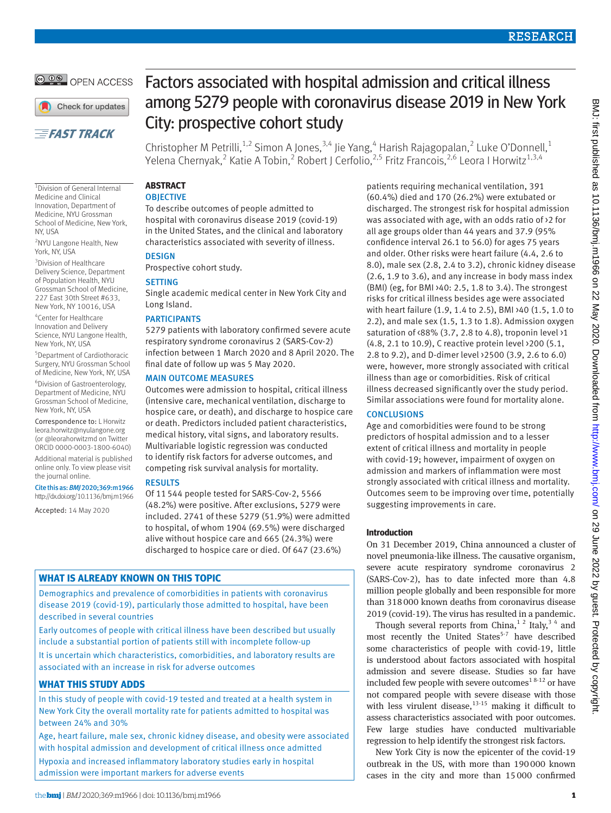**@ 00 OPEN ACCESS** 

Check for updates

## **EFAST TRACK**

1 Division of General Internal Medicine and Clinical Innovation, Department of Medicine, NYU Grossman School of Medicine, New York, NY, USA

2 NYU Langone Health, New York, NY, USA

3 Division of Healthcare Delivery Science, Department of Population Health, NYU Grossman School of Medicine, 227 East 30th Street #633, New York, NY 10016, USA

4 Center for Healthcare Innovation and Delivery Science, NYU Langone Health, New York, NY, USA

5 Department of Cardiothoracic Surgery, NYU Grossman School of Medicine, New York, NY, USA

6 Division of Gastroenterology, Department of Medicine, NYU Grossman School of Medicine, New York, NY, USA

Correspondence to: L Horwitz [leora.horwitz@nyulangone.org](mailto:leora.horwitz@nyulangone.org)  (or [@leorahorwitzmd](https://twitter.com/leorahorwitzmd) on Twitter ORCID [0000-0003-1800-6040\)](http://orcid.org/0000-0003-1800-6040)

Additional material is published online only. To view please visit the journal online.

Cite this as: *BMJ* 2020;369:m1966 http://dx.doi.org/10.1136/bmj.m1966

Accepted: 14 May 2020

# Factors associated with hospital admission and critical illness among 5279 people with coronavirus disease 2019 in New York City: prospective cohort study

Christopher M Petrilli,<sup>1,2</sup> Simon A Jones,<sup>3,4</sup> Jie Yang,<sup>4</sup> Harish Rajagopalan,<sup>2</sup> Luke O'Donnell,<sup>1</sup> Yelena Chernyak,<sup>2</sup> Katie A Tobin,<sup>2</sup> Robert J Cerfolio,<sup>2,5</sup> Fritz Francois,<sup>2,6</sup> Leora I Horwitz<sup>1,3,4</sup>

## **ABSTRACT OBJECTIVE**

To describe outcomes of people admitted to hospital with coronavirus disease 2019 (covid-19) in the United States, and the clinical and laboratory characteristics associated with severity of illness. **DESIGN** 

Prospective cohort study.

## **SETTING**

Single academic medical center in New York City and Long Island.

## PARTICIPANTS

5279 patients with laboratory confirmed severe acute respiratory syndrome coronavirus 2 (SARS-Cov-2) infection between 1 March 2020 and 8 April 2020. The final date of follow up was 5 May 2020.

### MAIN OUTCOME MEASURES

Outcomes were admission to hospital, critical illness (intensive care, mechanical ventilation, discharge to hospice care, or death), and discharge to hospice care or death. Predictors included patient characteristics, medical history, vital signs, and laboratory results. Multivariable logistic regression was conducted to identify risk factors for adverse outcomes, and competing risk survival analysis for mortality.

## RESULTS

Of 11544 people tested for SARS-Cov-2, 5566 (48.2%) were positive. After exclusions, 5279 were included. 2741 of these 5279 (51.9%) were admitted to hospital, of whom 1904 (69.5%) were discharged alive without hospice care and 665 (24.3%) were discharged to hospice care or died. Of 647 (23.6%)

## **WHAT IS ALREADY KNOWN ON THIS TOPIC**

Demographics and prevalence of comorbidities in patients with coronavirus disease 2019 (covid-19), particularly those admitted to hospital, have been described in several countries

Early outcomes of people with critical illness have been described but usually include a substantial portion of patients still with incomplete follow-up It is uncertain which characteristics, comorbidities, and laboratory results are associated with an increase in risk for adverse outcomes

## **WHAT THIS STUDY ADDS**

In this study of people with covid-19 tested and treated at a health system in New York City the overall mortality rate for patients admitted to hospital was between 24% and 30%

Age, heart failure, male sex, chronic kidney disease, and obesity were associated with hospital admission and development of critical illness once admitted Hypoxia and increased inflammatory laboratory studies early in hospital admission were important markers for adverse events

patients requiring mechanical ventilation, 391 (60.4%) died and 170 (26.2%) were extubated or discharged. The strongest risk for hospital admission was associated with age, with an odds ratio of >2 for all age groups older than 44 years and 37.9 (95% confidence interval 26.1 to 56.0) for ages 75 years and older. Other risks were heart failure (4.4, 2.6 to 8.0), male sex (2.8, 2.4 to 3.2), chronic kidney disease (2.6, 1.9 to 3.6), and any increase in body mass index (BMI) (eg, for BMI >40: 2.5, 1.8 to 3.4). The strongest risks for critical illness besides age were associated with heart failure (1.9, 1.4 to 2.5), BMI >40 (1.5, 1.0 to 2.2), and male sex (1.5, 1.3 to 1.8). Admission oxygen saturation of <88% (3.7, 2.8 to 4.8), troponin level >1 (4.8, 2.1 to 10.9), C reactive protein level >200 (5.1, 2.8 to 9.2), and D-dimer level >2500 (3.9, 2.6 to 6.0) were, however, more strongly associated with critical illness than age or comorbidities. Risk of critical illness decreased significantly over the study period. Similar associations were found for mortality alone.

## **CONCLUSIONS**

Age and comorbidities were found to be strong predictors of hospital admission and to a lesser extent of critical illness and mortality in people with covid-19; however, impairment of oxygen on admission and markers of inflammation were most strongly associated with critical illness and mortality. Outcomes seem to be improving over time, potentially suggesting improvements in care.

## **Introduction**

On 31 December 2019, China announced a cluster of novel pneumonia-like illness. The causative organism, severe acute respiratory syndrome coronavirus 2 (SARS-Cov-2), has to date infected more than 4.8 million people globally and been responsible for more than 318000 known deaths from coronavirus disease 2019 (covid-19). The virus has resulted in a pandemic.

Though several reports from China,<sup>12</sup> Italy,<sup>34</sup> and most recently the United States<sup>5-7</sup> have described some characteristics of people with covid-19, little is understood about factors associated with hospital admission and severe disease. Studies so far have included few people with severe outcomes<sup>18-12</sup> or have not compared people with severe disease with those with less virulent disease, $13-15$  making it difficult to assess characteristics associated with poor outcomes. Few large studies have conducted multivariable regression to help identify the strongest risk factors.

New York City is now the epicenter of the covid-19 outbreak in the US, with more than 190000 known cases in the city and more than 15000 confirmed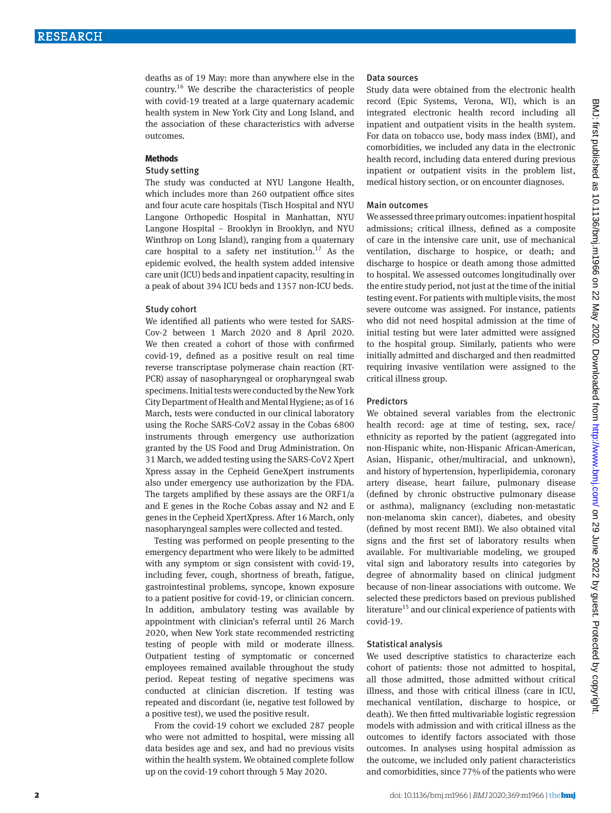deaths as of 19 May: more than anywhere else in the country.16 We describe the characteristics of people with covid-19 treated at a large quaternary academic health system in New York City and Long Island, and the association of these characteristics with adverse outcomes.

#### **Methods**

#### Study setting

The study was conducted at NYU Langone Health, which includes more than 260 outpatient office sites and four acute care hospitals (Tisch Hospital and NYU Langone Orthopedic Hospital in Manhattan, NYU Langone Hospital – Brooklyn in Brooklyn, and NYU Winthrop on Long Island), ranging from a quaternary care hospital to a safety net institution.<sup>17</sup> As the epidemic evolved, the health system added intensive care unit (ICU) beds and inpatient capacity, resulting in a peak of about 394 ICU beds and 1357 non-ICU beds.

#### Study cohort

We identified all patients who were tested for SARS-Cov-2 between 1 March 2020 and 8 April 2020. We then created a cohort of those with confirmed covid-19, defined as a positive result on real time reverse transcriptase polymerase chain reaction (RT-PCR) assay of nasopharyngeal or oropharyngeal swab specimens. Initial tests were conducted by the New York City Department of Health and Mental Hygiene; as of 16 March, tests were conducted in our clinical laboratory using the Roche SARS-CoV2 assay in the Cobas 6800 instruments through emergency use authorization granted by the US Food and Drug Administration. On 31 March, we added testing using the SARS-CoV2 Xpert Xpress assay in the Cepheid GeneXpert instruments also under emergency use authorization by the FDA. The targets amplified by these assays are the ORF1/a and E genes in the Roche Cobas assay and N2 and E genes in the Cepheid XpertXpress. After 16 March, only nasopharyngeal samples were collected and tested.

Testing was performed on people presenting to the emergency department who were likely to be admitted with any symptom or sign consistent with covid-19, including fever, cough, shortness of breath, fatigue, gastrointestinal problems, syncope, known exposure to a patient positive for covid-19, or clinician concern. In addition, ambulatory testing was available by appointment with clinician's referral until 26 March 2020, when New York state recommended restricting testing of people with mild or moderate illness. Outpatient testing of symptomatic or concerned employees remained available throughout the study period. Repeat testing of negative specimens was conducted at clinician discretion. If testing was repeated and discordant (ie, negative test followed by a positive test), we used the positive result.

From the covid-19 cohort we excluded 287 people who were not admitted to hospital, were missing all data besides age and sex, and had no previous visits within the health system. We obtained complete follow up on the covid-19 cohort through 5 May 2020.

#### Data sources

Study data were obtained from the electronic health record (Epic Systems, Verona, WI), which is an integrated electronic health record including all inpatient and outpatient visits in the health system. For data on tobacco use, body mass index (BMI), and comorbidities, we included any data in the electronic health record, including data entered during previous inpatient or outpatient visits in the problem list, medical history section, or on encounter diagnoses.

#### Main outcomes

We assessed three primary outcomes: inpatient hospital admissions; critical illness, defined as a composite of care in the intensive care unit, use of mechanical ventilation, discharge to hospice, or death; and discharge to hospice or death among those admitted to hospital. We assessed outcomes longitudinally over the entire study period, not just at the time of the initial testing event. For patients with multiple visits, the most severe outcome was assigned. For instance, patients who did not need hospital admission at the time of initial testing but were later admitted were assigned to the hospital group. Similarly, patients who were initially admitted and discharged and then readmitted requiring invasive ventilation were assigned to the critical illness group.

#### Predictors

We obtained several variables from the electronic health record: age at time of testing, sex, race/ ethnicity as reported by the patient (aggregated into non-Hispanic white, non-Hispanic African-American, Asian, Hispanic, other/multiracial, and unknown), and history of hypertension, hyperlipidemia, coronary artery disease, heart failure, pulmonary disease (defined by chronic obstructive pulmonary disease or asthma), malignancy (excluding non-metastatic non-melanoma skin cancer), diabetes, and obesity (defined by most recent BMI). We also obtained vital signs and the first set of laboratory results when available. For multivariable modeling, we grouped vital sign and laboratory results into categories by degree of abnormality based on clinical judgment because of non-linear associations with outcome. We selected these predictors based on previous published literature<sup>15</sup> and our clinical experience of patients with covid-19.

#### Statistical analysis

We used descriptive statistics to characterize each cohort of patients: those not admitted to hospital, all those admitted, those admitted without critical illness, and those with critical illness (care in ICU, mechanical ventilation, discharge to hospice, or death). We then fitted multivariable logistic regression models with admission and with critical illness as the outcomes to identify factors associated with those outcomes. In analyses using hospital admission as the outcome, we included only patient characteristics and comorbidities, since 77% of the patients who were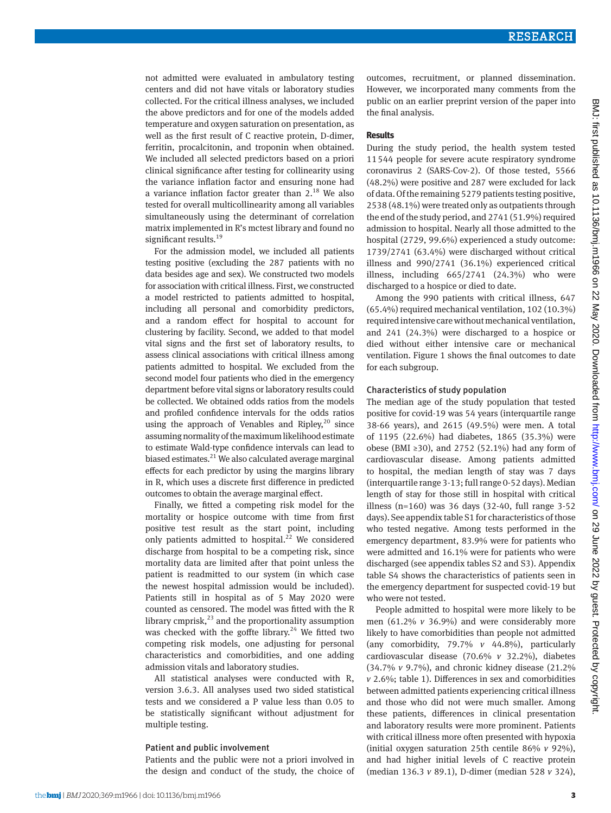not admitted were evaluated in ambulatory testing centers and did not have vitals or laboratory studies collected. For the critical illness analyses, we included the above predictors and for one of the models added temperature and oxygen saturation on presentation, as well as the first result of C reactive protein, D-dimer, ferritin, procalcitonin, and troponin when obtained. We included all selected predictors based on a priori clinical significance after testing for collinearity using the variance inflation factor and ensuring none had a variance inflation factor greater than  $2<sup>18</sup>$  We also tested for overall multicollinearity among all variables simultaneously using the determinant of correlation matrix implemented in R's mctest library and found no significant results.<sup>19</sup>

For the admission model, we included all patients testing positive (excluding the 287 patients with no data besides age and sex). We constructed two models for association with critical illness. First, we constructed a model restricted to patients admitted to hospital, including all personal and comorbidity predictors, and a random effect for hospital to account for clustering by facility. Second, we added to that model vital signs and the first set of laboratory results, to assess clinical associations with critical illness among patients admitted to hospital. We excluded from the second model four patients who died in the emergency department before vital signs or laboratory results could be collected. We obtained odds ratios from the models and profiled confidence intervals for the odds ratios using the approach of Venables and Ripley, $^{20}$  since assuming normality of the maximum likelihood estimate to estimate Wald-type confidence intervals can lead to biased estimates. $^{21}$  We also calculated average marginal effects for each predictor by using the margins library in R, which uses a discrete first difference in predicted outcomes to obtain the average marginal effect.

Finally, we fitted a competing risk model for the mortality or hospice outcome with time from first positive test result as the start point, including only patients admitted to hospital.<sup>22</sup> We considered discharge from hospital to be a competing risk, since mortality data are limited after that point unless the patient is readmitted to our system (in which case the newest hospital admission would be included). Patients still in hospital as of 5 May 2020 were counted as censored. The model was fitted with the R library cmprisk, $^{23}$  and the proportionality assumption was checked with the goffte library. $24$  We fitted two competing risk models, one adjusting for personal characteristics and comorbidities, and one adding admission vitals and laboratory studies.

All statistical analyses were conducted with R, version 3.6.3. All analyses used two sided statistical tests and we considered a P value less than 0.05 to be statistically significant without adjustment for multiple testing.

#### Patient and public involvement

Patients and the public were not a priori involved in the design and conduct of the study, the choice of outcomes, recruitment, or planned dissemination. However, we incorporated many comments from the public on an earlier preprint version of the paper into the final analysis.

#### **Results**

During the study period, the health system tested 11544 people for severe acute respiratory syndrome coronavirus 2 (SARS-Cov-2). Of those tested, 5566 (48.2%) were positive and 287 were excluded for lack of data. Of the remaining 5279 patients testing positive, 2538 (48.1%) were treated only as outpatients through the end of the study period, and 2741 (51.9%) required admission to hospital. Nearly all those admitted to the hospital (2729, 99.6%) experienced a study outcome: 1739/2741 (63.4%) were discharged without critical illness and 990/2741 (36.1%) experienced critical illness, including 665/2741 (24.3%) who were discharged to a hospice or died to date.

Among the 990 patients with critical illness, 647 (65.4%) required mechanical ventilation, 102 (10.3%) required intensive care without mechanical ventilation, and 241 (24.3%) were discharged to a hospice or died without either intensive care or mechanical ventilation. Figure 1 shows the final outcomes to date for each subgroup.

#### Characteristics of study population

The median age of the study population that tested positive for covid-19 was 54 years (interquartile range 38-66 years), and 2615 (49.5%) were men. A total of 1195 (22.6%) had diabetes, 1865 (35.3%) were obese (BMI ≥30), and 2752 (52.1%) had any form of cardiovascular disease. Among patients admitted to hospital, the median length of stay was 7 days (interquartile range 3-13; full range 0-52 days). Median length of stay for those still in hospital with critical illness (n=160) was 36 days (32-40, full range 3-52 days). See appendix table S1 for characteristics of those who tested negative. Among tests performed in the emergency department, 83.9% were for patients who were admitted and 16.1% were for patients who were discharged (see appendix tables S2 and S3). Appendix table S4 shows the characteristics of patients seen in the emergency department for suspected covid-19 but who were not tested.

People admitted to hospital were more likely to be men (61.2% *v* 36.9%) and were considerably more likely to have comorbidities than people not admitted (any comorbidity, 79.7% *v* 44.8%), particularly cardiovascular disease (70.6% *v* 32.2%), diabetes (34.7% *v* 9.7%), and chronic kidney disease (21.2% *v* 2.6%; table 1). Differences in sex and comorbidities between admitted patients experiencing critical illness and those who did not were much smaller. Among these patients, differences in clinical presentation and laboratory results were more prominent. Patients with critical illness more often presented with hypoxia (initial oxygen saturation 25th centile 86% *v* 92%), and had higher initial levels of C reactive protein (median 136.3 *v* 89.1), D-dimer (median 528 *v* 324),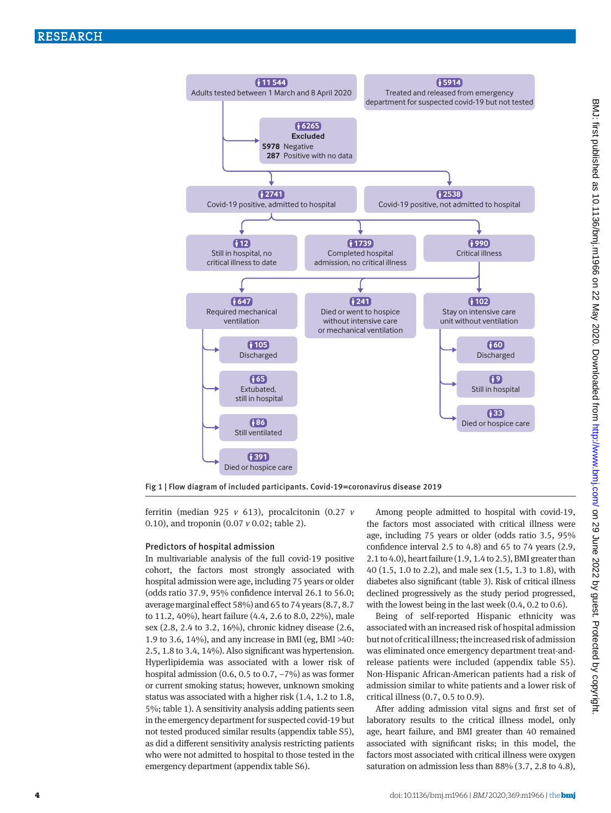

Fig 1 | Flow diagram of included participants. Covid-19=coronavirus disease 2019

ferritin (median 925 *v* 613), procalcitonin (0.27 *v* 0.10), and troponin (0.07 *v* 0.02; table 2).

#### Predictors of hospital admission

In multivariable analysis of the full covid-19 positive cohort, the factors most strongly associated with hospital admission were age, including 75 years or older (odds ratio 37.9, 95% confidence interval 26.1 to 56.0; average marginal effect 58%) and 65 to 74 years (8.7, 8.7 to 11.2, 40%), heart failure (4.4, 2.6 to 8.0, 22%), male sex (2.8, 2.4 to 3.2, 16%), chronic kidney disease (2.6, 1.9 to 3.6, 14%), and any increase in BMI (eg, BMI >40: 2.5, 1.8 to 3.4, 14%). Also significant was hypertension. Hyperlipidemia was associated with a lower risk of hospital admission (0.6, 0.5 to 0.7, −7%) as was former or current smoking status; however, unknown smoking status was associated with a higher risk (1.4, 1.2 to 1.8, 5%; table 1). A sensitivity analysis adding patients seen in the emergency department for suspected covid-19 but not tested produced similar results (appendix table S5), as did a different sensitivity analysis restricting patients who were not admitted to hospital to those tested in the emergency department (appendix table S6).

Among people admitted to hospital with covid-19, the factors most associated with critical illness were age, including 75 years or older (odds ratio 3.5, 95% confidence interval 2.5 to 4.8) and 65 to 74 years (2.9, 2.1 to 4.0), heart failure (1.9, 1.4 to 2.5), BMI greater than 40 (1.5, 1.0 to 2.2), and male sex (1.5, 1.3 to 1.8), with diabetes also significant (table 3). Risk of critical illness declined progressively as the study period progressed, with the lowest being in the last week (0.4, 0.2 to 0.6).

Being of self-reported Hispanic ethnicity was associated with an increased risk of hospital admission but not of critical illness; the increased risk of admission was eliminated once emergency department treat-andrelease patients were included (appendix table S5). Non-Hispanic African-American patients had a risk of admission similar to white patients and a lower risk of critical illness (0.7, 0.5 to 0.9).

After adding admission vital signs and first set of laboratory results to the critical illness model, only age, heart failure, and BMI greater than 40 remained associated with significant risks; in this model, the factors most associated with critical illness were oxygen saturation on admission less than 88% (3.7, 2.8 to 4.8),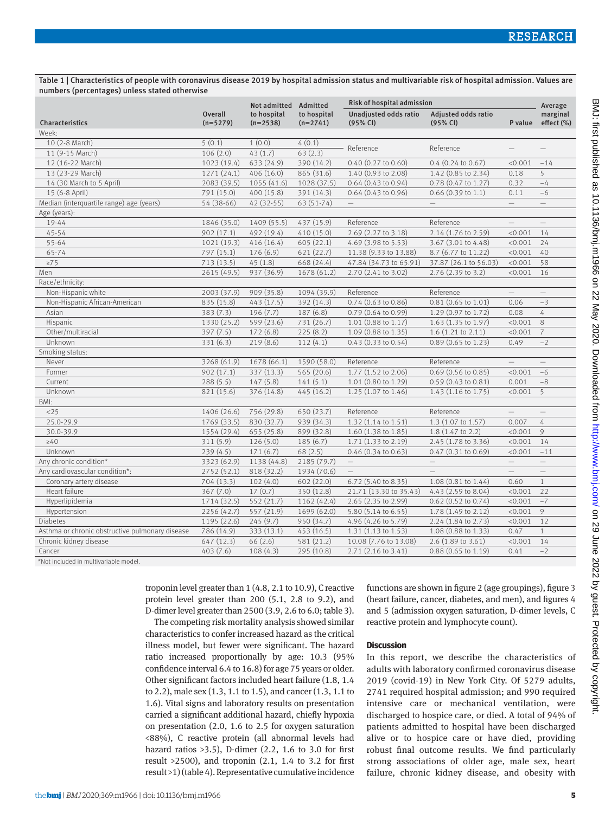Table 1 | Characteristics of people with coronavirus disease 2019 by hospital admission status and multivariable risk of hospital admission. Values are numbers (percentages) unless stated otherwise

|                                                 |                              | Not admitted Admitted     |                           | Risk of hospital admission        |                                 |                          | Average                  |
|-------------------------------------------------|------------------------------|---------------------------|---------------------------|-----------------------------------|---------------------------------|--------------------------|--------------------------|
| Characteristics                                 | <b>Overall</b><br>$(n=5279)$ | to hospital<br>$(n=2538)$ | to hospital<br>$(n=2741)$ | Unadjusted odds ratio<br>(95% CI) | Adjusted odds ratio<br>(95% CI) | P value                  | marginal<br>effect (%)   |
| Week:                                           |                              |                           |                           |                                   |                                 |                          |                          |
| 10 (2-8 March)                                  | 5(0.1)                       | 1(0.0)                    | 4(0.1)                    |                                   |                                 |                          |                          |
| 11 (9-15 March)                                 | 106(2.0)                     | 43(1.7)                   | 63(2.3)                   | Reference                         | Reference                       |                          |                          |
| 12 (16-22 March)                                | 1023 (19.4)                  | 633 (24.9)                | 390 (14.2)                | $0.40$ $(0.27$ to $0.60)$         | $0.4$ (0.24 to 0.67)            | < 0.001                  | $-14$                    |
| 13 (23-29 March)                                | 1271 (24.1)                  | 406(16.0)                 | 865 (31.6)                | 1.40 (0.93 to 2.08)               | 1.42 (0.85 to 2.34)             | 0.18                     | 5                        |
| 14 (30 March to 5 April)                        | 2083 (39.5)                  | 1055 (41.6)               | 1028 (37.5)               | $0.64$ (0.43 to 0.94)             | 0.78 (0.47 to 1.27)             | 0.32                     | $-4$                     |
| 15 (6-8 April)                                  | 791 (15.0)                   | 400 (15.8)                | 391 (14.3)                | $0.64$ (0.43 to 0.96)             | $0.66$ $(0.39$ to 1.1)          | 0.11                     | $-6$                     |
| Median (interquartile range) age (years)        | 54 (38-66)                   | 42 (32-55)                | 63 (51-74)                | $\qquad \qquad -$                 | $\overline{\phantom{0}}$        | $\qquad \qquad -$        | $\overline{\phantom{0}}$ |
| Age (years):                                    |                              |                           |                           |                                   |                                 |                          |                          |
| 19-44                                           | 1846 (35.0)                  | 1409 (55.5)               | 437 (15.9)                | Reference                         | Reference                       | $\equiv$                 | $\equiv$                 |
| $45 - 54$                                       | 902(17.1)                    | 492 (19.4)                | 410 (15.0)                | 2.69 (2.27 to 3.18)               | 2.14 (1.76 to 2.59)             | < 0.001                  | 14                       |
| 55-64                                           | 1021 (19.3)                  | 416(16.4)                 | 605(22.1)                 | 4.69 (3.98 to 5.53)               | 3.67 (3.01 to 4.48)             | < 0.001                  | 24                       |
| 65-74                                           | 797 (15.1)                   | 176(6.9)                  | 621(22.7)                 | 11.38 (9.33 to 13.88)             | 8.7 (6.77 to 11.22)             | < 0.001                  | 40                       |
| $\geq 75$                                       | 713(13.5)                    | 45(1.8)                   | 668 (24.4)                | 47.84 (34.73 to 65.91)            | 37.87 (26.1 to 56.03)           | < 0.001                  | 58                       |
| Men                                             | 2615 (49.5)                  | 937 (36.9)                | 1678 (61.2)               | 2.70 (2.41 to 3.02)               | 2.76 (2.39 to 3.2)              | < 0.001                  | 16                       |
| Race/ethnicity:                                 |                              |                           |                           |                                   |                                 |                          |                          |
| Non-Hispanic white                              | 2003 (37.9)                  | 909 (35.8)                | 1094 (39.9)               | Reference                         | Reference                       | $\overline{\phantom{0}}$ |                          |
| Non-Hispanic African-American                   | 835 (15.8)                   | 443 (17.5)                | 392 (14.3)                | $0.74$ (0.63 to 0.86)             | $0.81$ (0.65 to 1.01)           | 0.06                     | $-3$                     |
| Asian                                           | 383(7.3)                     | 196(7.7)                  | 187(6.8)                  | $0.79(0.64 \text{ to } 0.99)$     | 1.29 (0.97 to 1.72)             | 0.08                     | 4                        |
| Hispanic                                        | 1330 (25.2)                  | 599 (23.6)                | 731 (26.7)                | $1.01$ (0.88 to 1.17)             | 1.63 (1.35 to 1.97)             | < 0.001                  | $\,8\,$                  |
| Other/multiracial                               | 397(7.5)                     | 172(6.8)                  | 225(8.2)                  | 1.09 (0.88 to 1.35)               | 1.6 (1.21 to 2.11)              | < 0.001                  | $\overline{7}$           |
| Unknown                                         | 331(6.3)                     | 219(8.6)                  | 112(4.1)                  | 0.43(0.33 to 0.54)                | 0.89 (0.65 to 1.23)             | 0.49                     | $-2$                     |
| Smoking status:                                 |                              |                           |                           |                                   |                                 |                          |                          |
| Never                                           | 3268 (61.9)                  | 1678 (66.1)               | 1590 (58.0)               | Reference                         | Reference                       | $\qquad \qquad -$        | $\overline{\phantom{0}}$ |
| Former                                          | 902(17.1)                    | 337 (13.3)                | 565 (20.6)                | 1.77 (1.52 to 2.06)               | $0.69$ (0.56 to 0.85)           | < 0.001                  | $-6$                     |
| Current                                         | 288(5.5)                     | 147(5.8)                  | 141(5.1)                  | 1.01 (0.80 to 1.29)               | $0.59(0.43 \text{ to } 0.81)$   | 0.001                    | $-8$                     |
| Unknown                                         | 821 (15.6)                   | 376 (14.8)                | 445(16.2)                 | 1.25 (1.07 to 1.46)               | $1.43(1.16 \text{ to } 1.75)$   | < 0.001                  | 5                        |
| BMI:                                            |                              |                           |                           |                                   |                                 |                          |                          |
| <25                                             | 1406 (26.6)                  | 756 (29.8)                | 650 (23.7)                | Reference                         | Reference                       | $\overline{\phantom{m}}$ | $\overline{\phantom{0}}$ |
| 25.0-29.9                                       | 1769 (33.5)                  | 830 (32.7)                | 939 (34.3)                | $1.32(1.14 \text{ to } 1.51)$     | 1.3 (1.07 to 1.57)              | 0.007                    | 4                        |
| 30.0-39.9                                       | 1554 (29.4)                  | 655 (25.8)                | 899 (32.8)                | 1.60 (1.38 to 1.85)               | $1.8$ (1.47 to 2.2)             | < 0.001                  | 9                        |
| $\geq 40$                                       | 311(5.9)                     | 126(5.0)                  | 185(6.7)                  | 1.71 (1.33 to 2.19)               | 2.45 (1.78 to 3.36)             | < 0.001                  | 14                       |
| Unknown                                         | 239(4.5)                     | 171(6.7)                  | 68(2.5)                   | $0.46$ (0.34 to 0.63)             | $0.47$ $(0.31$ to $0.69)$       | < 0.001                  | $-11$                    |
| Any chronic condition*                          | 3323 (62.9)                  | 1138 (44.8)               | 2185 (79.7)               | $\overline{\phantom{0}}$          | $-$                             | $\equiv$                 | $=$                      |
| Any cardiovascular condition*:                  | 2752 (52.1)                  | 818 (32.2)                | 1934 (70.6)               | $\overline{\phantom{m}}$          |                                 | $\overline{\phantom{m}}$ | $\overline{\phantom{0}}$ |
| Coronary artery disease                         | 704 (13.3)                   | 102(4.0)                  | 602 (22.0)                | 6.72 (5.40 to 8.35)               | 1.08 (0.81 to 1.44)             | 0.60                     | $\mathbf{1}$             |
| Heart failure                                   | 367(7.0)                     | 17(0.7)                   | 350 (12.8)                | 21.71 (13.30 to 35.43)            | 4.43 (2.59 to 8.04)             | < 0.001                  | 22                       |
| Hyperlipidemia                                  | 1714 (32.5)                  | 552 (21.7)                | 1162 (42.4)               | 2.65 (2.35 to 2.99)               | $0.62$ (0.52 to 0.74)           | < 0.001                  | $-7$                     |
| Hypertension                                    | 2256 (42.7)                  | 557 (21.9)                | 1699 (62.0)               | 5.80 (5.14 to 6.55)               | 1.78 (1.49 to 2.12)             | < 0.001                  | 9                        |
| <b>Diabetes</b>                                 | 1195 (22.6)                  | 245(9.7)                  | 950 (34.7)                | 4.96 (4.26 to 5.79)               | 2.24 (1.84 to 2.73)             | < 0.001                  | 12                       |
| Asthma or chronic obstructive pulmonary disease | 786 (14.9)                   | 333 (13.1)                | 453 (16.5)                | 1.31 (1.13 to 1.53)               | $1.08$ (0.88 to 1.33)           | 0.47                     | $\mathbf{1}$             |
| Chronic kidney disease                          | 647 (12.3)                   | 66(2.6)                   | 581 (21.2)                | 10.08 (7.76 to 13.08)             | 2.6 (1.89 to 3.61)              | < 0.001                  | 14                       |
| Cancer                                          | 403(7.6)                     | 108(4.3)                  | 295(10.8)                 | $2.71(2.16 \text{ to } 3.41)$     | $0.88$ (0.65 to 1.19)           | 0.41                     | $-2$                     |

\*Not included in multivariable model.

troponin level greater than 1 (4.8, 2.1 to 10.9), C reactive protein level greater than 200 (5.1, 2.8 to 9.2), and D-dimer level greater than 2500 (3.9, 2.6 to 6.0; table 3).

The competing risk mortality analysis showed similar characteristics to confer increased hazard as the critical illness model, but fewer were significant. The hazard ratio increased proportionally by age: 10.3 (95% confidence interval 6.4 to 16.8) for age 75 years or older. Other significant factors included heart failure (1.8, 1.4 to 2.2), male sex (1.3, 1.1 to 1.5), and cancer (1.3, 1.1 to 1.6). Vital signs and laboratory results on presentation carried a significant additional hazard, chiefly hypoxia on presentation (2.0, 1.6 to 2.5 for oxygen saturation <88%), C reactive protein (all abnormal levels had hazard ratios  $>3.5$ ), D-dimer (2.2, 1.6 to 3.0 for first result  $>2500$ ), and troponin (2.1, 1.4 to 3.2 for first result >1) (table 4). Representative cumulative incidence

functions are shown in figure 2 (age groupings), figure 3 (heart failure, cancer, diabetes, and men), and figures 4 and 5 (admission oxygen saturation, D-dimer levels, C reactive protein and lymphocyte count).

#### **Discussion**

In this report, we describe the characteristics of adults with laboratory confirmed coronavirus disease 2019 (covid-19) in New York City. Of 5279 adults, 2741 required hospital admission; and 990 required intensive care or mechanical ventilation, were discharged to hospice care, or died. A total of 94% of patients admitted to hospital have been discharged alive or to hospice care or have died, providing robust final outcome results. We find particularly strong associations of older age, male sex, heart failure, chronic kidney disease, and obesity with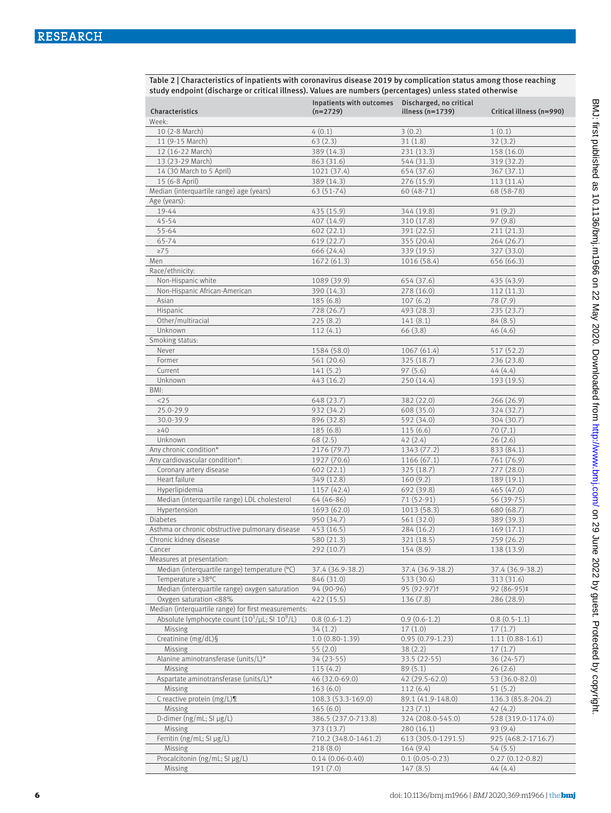| Table 2   Characteristics of inpatients with coronavirus disease 2019 by complication status among those reaching |
|-------------------------------------------------------------------------------------------------------------------|
| study endpoint (discharge or critical illness). Values are numbers (percentages) unless stated otherwise          |

| Characteristics                                      | Inpatients with outcomes<br>$(n=2729)$ | Discharged, no critical<br>illness $(n=1739)$ | Critical illness (n=990) |
|------------------------------------------------------|----------------------------------------|-----------------------------------------------|--------------------------|
| Week:                                                |                                        |                                               |                          |
| 10 (2-8 March)                                       | 4(0.1)                                 | 3(0.2)                                        | 1(0.1)                   |
| 11 (9-15 March)                                      | 63(2.3)                                | 31(1.8)                                       | 32(3.2)                  |
| 12 (16-22 March)                                     | 389 (14.3)                             | 231 (13.3)                                    | 158 (16.0)               |
| 13 (23-29 March)                                     | 863 (31.6)                             | 544 (31.3)                                    | 319 (32.2)               |
| 14 (30 March to 5 April)                             | 1021 (37.4)                            | 654 (37.6)                                    | 367 (37.1)               |
| 15 (6-8 April)                                       | 389 (14.3)                             | 276 (15.9)                                    | 113 (11.4)               |
| Median (interquartile range) age (years)             | $63(51-74)$                            | 60 (48-71)                                    | 68 (58-78)               |
| Age (years):                                         |                                        |                                               |                          |
| 19-44                                                | 435 (15.9)                             | 344 (19.8)                                    | 91 (9.2)                 |
| $45 - 54$                                            | 407 (14.9)                             | 310 (17.8)                                    | 97(9.8)                  |
| 55-64                                                | 602(22.1)                              | 391 (22.5)                                    | 211(21.3)                |
| 65-74                                                | 619 (22.7)                             | 355(20.4)                                     | 264(26.7)                |
| $\geq 75$                                            | 666 (24.4)                             | 339 (19.5)                                    | 327 (33.0)               |
| Men                                                  | 1672(61.3)                             | 1016 (58.4)                                   | 656 (66.3)               |
| Race/ethnicity:                                      |                                        |                                               |                          |
| Non-Hispanic white                                   | 1089 (39.9)                            | 654 (37.6)                                    | 435 (43.9)               |
| Non-Hispanic African-American                        | 390 (14.3)                             | 278 (16.0)                                    | 112(11.3)                |
| Asian                                                | 185(6.8)                               | 107(6.2)                                      | 78 (7.9)                 |
| Hispanic                                             | 728 (26.7)                             | 493 (28.3)                                    | 235(23.7)                |
| Other/multiracial                                    | 225(8.2)                               | 141(8.1)                                      | 84(8.5)                  |
| Unknown                                              | 112(4.1)                               | 66(3.8)                                       | 46(4.6)                  |
| Smoking status:                                      |                                        |                                               |                          |
| Never                                                | 1584 (58.0)                            | 1067(61.4)                                    | 517 (52.2)               |
| Former                                               | 561 (20.6)                             | 325(18.7)                                     | 236 (23.8)               |
| Current                                              | 141(5.2)                               | 97(5.6)                                       | 44(4.4)                  |
| Unknown                                              | 443 (16.2)                             | 250 (14.4)                                    | 193 (19.5)               |
| BMI:                                                 |                                        |                                               |                          |
| <25                                                  | 648 (23.7)                             | 382 (22.0)                                    | 266(26.9)                |
| 25.0-29.9                                            | 932 (34.2)                             | 608 (35.0)                                    | 324 (32.7)               |
| 30.0-39.9                                            | 896 (32.8)                             | 592 (34.0)                                    | 304 (30.7)               |
| $\geq 40$                                            | 185(6.8)                               | 115(6.6)                                      | 70(7.1)                  |
| Unknown                                              | 68(2.5)                                | 42(2.4)                                       | 26(2.6)                  |
| Any chronic condition*                               | 2176 (79.7)                            | 1343 (77.2)                                   | 833 (84.1)               |
| Any cardiovascular condition*:                       | 1927 (70.6)                            | 1166 (67.1)                                   | 761 (76.9)               |
| Coronary artery disease                              | 602(22.1)                              | 325 (18.7)                                    | 277(28.0)                |
| Heart failure                                        | 349 (12.8)                             | 160(9.2)                                      | 189 (19.1)               |
| Hyperlipidemia                                       | 1157 (42.4)                            | 692 (39.8)                                    | 465 (47.0)               |
| Median (interquartile range) LDL cholesterol         | 64 (46-86)                             | 71 (52-91)                                    | 56 (39-75)               |
| Hypertension                                         | 1693 (62.0)                            | 1013 (58.3)                                   | 680 (68.7)               |
| Diabetes                                             | 950 (34.7)                             | 561 (32.0)                                    | 389 (39.3)               |
| Asthma or chronic obstructive pulmonary disease      | 453 (16.5)                             | 284(16.2)                                     | 169(17.1)                |
| Chronic kidney disease                               | 580 (21.3)                             | 321 (18.5)                                    | 259 (26.2)               |
| Cancer                                               | 292 (10.7)                             | 154 (8.9)                                     | 138 (13.9)               |
| Measures at presentation:                            |                                        |                                               |                          |
| Median (interquartile range) temperature (°C)        | 37.4 (36.9-38.2)                       | 37.4 (36.9-38.2)                              | 37.4 (36.9-38.2)         |
| Temperature ≥38°C                                    | 846 (31.0)                             | 533 (30.6)                                    | 313 (31.6)               |
| Median (interquartile range) oxygen saturation       | 94 (90-96)                             | 95 (92-97)t                                   | 92 (86-95)‡              |
| Oxygen saturation <88%                               | 422 (15.5)                             | 136(7.8)                                      | 286 (28.9)               |
| Median (interquartile range) for first measurements: |                                        |                                               |                          |
| Absolute lymphocyte count $(10^3/\mu L; S1 10^9/L)$  | $0.8(0.6-1.2)$                         | $0.9(0.6-1.2)$                                | $0.8(0.5-1.1)$           |
| Missing                                              | 34(1.2)                                | 17(1.0)                                       | 17(1.7)                  |
| Creatinine (mg/dL)§                                  | $1.0(0.80-1.39)$                       | $0.95(0.79-1.23)$                             | $1.11(0.88-1.61)$        |
| Missing                                              | 55(2.0)                                | 38(2.2)                                       | 17(1.7)                  |
| Alanine aminotransferase (units/L)*                  | 34 (23-55)                             | 33.5 (22-55)                                  | 36 (24-57)               |
| Missing                                              | 115(4.2)                               | 89(5.1)                                       | 26(2.6)                  |
| Aspartate aminotransferase (units/L)*                | 46 (32.0-69.0)                         | 42 (29.5-62.0)                                | 53 (36.0-82.0)           |
| Missing                                              | 163(6.0)                               | 112(6.4)                                      | 51(5.2)                  |
| C reactive protein $(mg/L)\P$                        | 108.3 (53.3-169.0)                     | 89.1 (41.9-148.0)                             | 136.3 (85.8-204.2)       |
| Missing                                              | 165(6.0)                               | 123(7.1)                                      | 42(4.2)                  |
| D-dimer (ng/mL; SI µg/L)                             | 386.5 (237.0-713.8)                    | 324 (208.0-545.0)                             | 528 (319.0-1174.0)       |
| Missing                                              | 373 (13.7)                             | 280(16.1)                                     | 93 (9.4)                 |
| Ferritin (ng/mL; SI µg/L)                            | 710.2 (348.0-1461.2)                   | 613 (305.0-1291.5)                            | 925 (468.2-1716.7)       |
| Missing                                              | 218(8.0)                               | 164 (9.4)                                     | 54(5.5)                  |
| Procalcitonin (ng/mL; SI µg/L)                       | $0.14(0.06 - 0.40)$                    | $0.1(0.05 - 0.23)$                            | $0.27(0.12-0.82)$        |
| Missing                                              | 191 (7.0)                              | 147(8.5)                                      | 44(4.4)                  |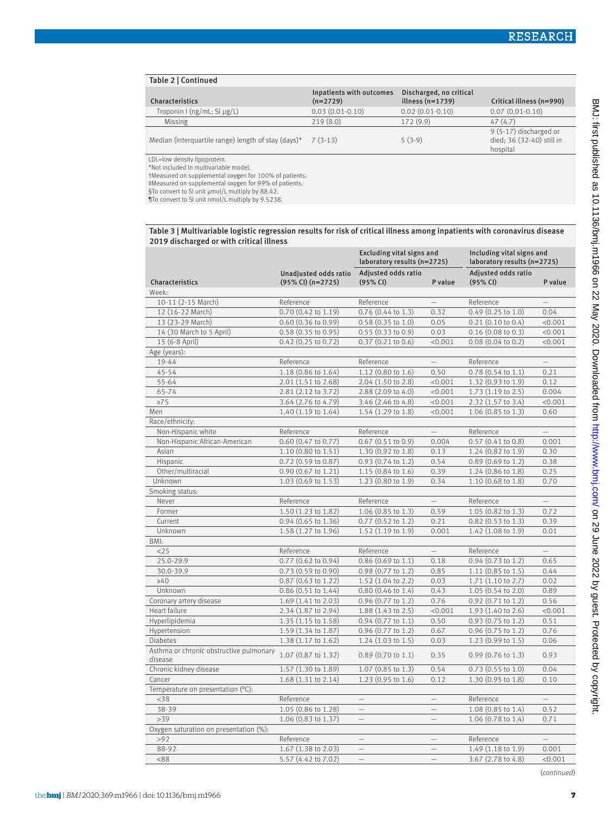| Table 2   Continued                                 |                                        |                                               |                                                                 |
|-----------------------------------------------------|----------------------------------------|-----------------------------------------------|-----------------------------------------------------------------|
| Characteristics                                     | Inpatients with outcomes<br>$(n=2729)$ | Discharged, no critical<br>illness $(n=1739)$ | Critical illness (n=990)                                        |
| Troponin I (ng/mL; SI $\mu$ g/L)                    | $0.03(0.01-0.10)$                      | $0.02(0.01-0.10)$                             | $0.07(0.01-0.10)$                                               |
| <b>Missing</b>                                      | 219(8.0)                               | 172(9.9)                                      | 47(4.7)                                                         |
| Median (interquartile range) length of stay (days)* | $7(3-13)$                              | $5(3-9)$                                      | 9 (5-17) discharged or<br>died; 36 (32-40) still in<br>hospital |
| IDI Journale dinanzatoin                            |                                        |                                               |                                                                 |

LDL=low density lipoprotein. \*Not included in multivariable model.

†Measured on supplemental oxygen for 100% of patients.

‡Measured on supplemental oxygen for 99% of patients.

§To convert to SI unit μmol/L multiply by 88.42.

¶To convert to SI unit nmol/L multiply by 9.5238.

Table 3 | Multivariable logistic regression results for risk of critical illness among inpatients with coronavirus disease 2019 discharged or with critical illness

| Unadjusted odds ratio<br>Adjusted odds ratio<br>Adjusted odds ratio<br>Characteristics<br>$(95\%$ CI) $(n=2725)$<br>(95% CI)<br>(95% CI)<br>P value<br>P value<br>Week:<br>10-11 (2-15 March)<br>Reference<br>Reference<br>Reference<br>12 (16-22 March)<br>$0.70$ $(0.42$ to $1.19)$<br>$0.76$ (0.44 to 1.3)<br>0.32<br>$0.49$ (0.25 to 1.0)<br>0.04<br>13 (23-29 March)<br>$0.60$ $(0.36$ to $0.99)$<br>$0.58$ $(0.35$ to $1.0)$<br>0.05<br>$0.21$ $(0.10$ to $0.4)$<br>< 0.001<br>14 (30 March to 5 April)<br>0.58 (0.35 to 0.95)<br>0.55(0.33 to 0.9)<br>$0.16$ (0.08 to 0.3)<br>0.03<br>< 0.001<br>15 (6-8 April)<br>$0.42$ (0.25 to 0.72)<br>$0.37$ $(0.21$ to $0.6)$<br>$0.08$ $(0.04$ to $0.2)$<br>< 0.001<br>< 0.001<br>Age (years):<br>19-44<br>Reference<br>Reference<br>$\qquad \qquad -$<br>Reference<br>$\overline{\phantom{0}}$<br>$45 - 54$<br>1.18 (0.86 to 1.64)<br>1.12 (0.80 to 1.6)<br>0.50<br>$0.78$ $(0.54$ to $1.1)$<br>0.21<br>2.01 (1.51 to 2.68)<br>55-64<br>2.04 (1.50 to 2.8)<br>1.32 (0.93 to 1.9)<br>0.12<br>< 0.001<br>65-74<br>2.81 (2.12 to 3.72)<br>2.88 (2.09 to 4.0)<br>< 0.001<br>$1.73(1.19 \text{ to } 2.5)$<br>0.004<br>$\geq 75$<br>3.64 (2.76 to 4.79)<br>3.46 (2.46 to 4.8)<br>2.32 (1.57 to 3.4)<br>< 0.001<br>< 0.001<br>1.40 (1.19 to 1.64)<br>1.54 (1.29 to 1.8)<br>1.06 (0.85 to 1.3)<br>Men<br>< 0.001<br>0.60<br>Race/ethnicity:<br>Non-Hispanic white<br>Reference<br>Reference<br>Reference<br>$\equiv$<br>$\equiv$<br>Non-Hispanic African-American<br>0.60 (0.47 to 0.77)<br>$0.67$ $(0.51$ to $0.9)$<br>0.004<br>$0.57$ $(0.41$ to $0.8)$<br>0.001<br>Asian<br>1.10 (0.80 to 1.51)<br>1.30 (0.92 to 1.8)<br>0.13<br>1.24 (0.82 to 1.9)<br>0.30<br>Hispanic<br>0.93 (0.74 to 1.2)<br>$0.89$ (0.69 to 1.2)<br>0.38<br>$0.72(0.59 \text{ to } 0.87)$<br>0.54<br>Other/multiracial<br>1.15 (0.84 to 1.6)<br>0.39<br>1.24 (0.86 to 1.8)<br>0.25<br>$0.90$ (0.67 to 1.21)<br>Unknown<br>1.23 (0.80 to 1.9)<br>1.10 (0.68 to 1.8)<br>0.70<br>1.03 (0.69 to 1.53)<br>0.34<br>Smoking status:<br>Never<br>Reference<br>Reference<br>$-$<br>Reference<br>$\equiv$<br>Former<br>1.50 (1.23 to 1.82)<br>$1.06$ (0.85 to 1.3)<br>0.59<br>1.05 (0.82 to 1.3)<br>0.72<br>Current<br>0.94 (0.65 to 1.36)<br>$0.77$ $(0.52$ to 1.2)<br>0.21<br>$0.82$ (0.53 to 1.3)<br>0.39<br>Unknown<br>1.58 (1.27 to 1.96)<br>1.52 (1.19 to 1.9)<br>0.001<br>$1.42$ (1.08 to 1.9)<br>0.01<br>BMI:<br><25<br>Reference<br>Reference<br>Reference<br>0.77 (0.62 to 0.94)<br>25.0-29.9<br>$0.86$ (0.69 to 1.1)<br>0.18<br>$0.94$ (0.73 to 1.2)<br>0.65<br>30.0-39.9<br>0.73 (0.59 to 0.90)<br>0.98 (0.77 to 1.2)<br>0.85<br>$1.11$ (0.85 to 1.5)<br>0.44<br>$\geq 40$<br>0.87 (0.63 to 1.22)<br>1.52 (1.04 to 2.2)<br>$1.71$ $(1.10 \text{ to } 2.7)$<br>0.03<br>0.02<br>Unknown<br>0.86 (0.51 to 1.44)<br>$0.80$ (0.46 to 1.4)<br>1.05 (0.54 to 2.0)<br>0.89<br>0.43<br>Coronary artery disease<br>1.69 (1.41 to 2.03)<br>0.96 (0.77 to 1.2)<br>0.76<br>$0.92$ (0.71 to 1.2)<br>0.56<br>Heart failure<br>2.34 (1.87 to 2.94)<br>1.88 (1.43 to 2.5)<br>< 0.001<br>1.93 (1.40 to 2.6)<br>< 0.001<br>Hyperlipidemia<br>1.35 (1.15 to 1.58)<br>$0.94$ $(0.77$ to 1.1)<br>0.50<br>0.93 (0.75 to 1.2)<br>0.51<br>Hypertension<br>1.59 (1.34 to 1.87)<br>0.96 (0.77 to 1.2)<br>0.67<br>0.96 (0.75 to 1.2)<br>0.76<br><b>Diabetes</b><br>1.38 (1.17 to 1.62)<br>$1.24$ $(1.03$ to $1.5)$<br>0.03<br>$1.23(0.99 \text{ to } 1.5)$<br>0.06<br>Asthma or chronic obstructive pulmonary<br>1.07 (0.87 to 1.32)<br>$0.89$ (0.70 to 1.1)<br>0.35<br>$0.99$ (0.76 to 1.3)<br>0.93<br>disease<br>Chronic kidney disease<br>1.57 (1.30 to 1.89)<br>$1.07$ (0.85 to 1.3)<br>0.54<br>$0.73$ $(0.55$ to $1.0)$<br>0.04<br>Cancer<br>1.68 (1.31 to 2.14)<br>1.23 (0.95 to 1.6)<br>0.12<br>1.30 (0.95 to 1.8)<br>0.10<br>Temperature on presentation (°C):<br>$<$ 38<br>Reference<br>Reference<br>$\overline{\phantom{0}}$<br>$\equiv$<br>38-39<br>1.05 (0.86 to 1.28)<br>1.08 (0.85 to 1.4)<br>0.52<br>$\overline{\phantom{0}}$<br>$\overline{\phantom{0}}$<br>>39<br>1.06 (0.83 to 1.37)<br>1.06 (0.78 to 1.4)<br>0.71<br>$\qquad \qquad -$<br>$\overline{\phantom{0}}$<br>Oxygen saturation on presentation (%):<br>>92<br>Reference<br>Reference<br>$\qquad \qquad -$<br>$\equiv$<br>$\equiv$<br>88-92<br>1.67 (1.38 to 2.03)<br>$\equiv$<br>1.49 (1.18 to 1.9)<br>0.001<br>$\frac{1}{2}$<br>&88<br>5.57 (4.42 to 7.02)<br>3.67 (2.78 to 4.8)<br>< 0.001 |  | <b>Excluding vital signs and</b><br>laboratory results (n=2725) |  | Including vital signs and<br>laboratory results (n=2725) |  |
|----------------------------------------------------------------------------------------------------------------------------------------------------------------------------------------------------------------------------------------------------------------------------------------------------------------------------------------------------------------------------------------------------------------------------------------------------------------------------------------------------------------------------------------------------------------------------------------------------------------------------------------------------------------------------------------------------------------------------------------------------------------------------------------------------------------------------------------------------------------------------------------------------------------------------------------------------------------------------------------------------------------------------------------------------------------------------------------------------------------------------------------------------------------------------------------------------------------------------------------------------------------------------------------------------------------------------------------------------------------------------------------------------------------------------------------------------------------------------------------------------------------------------------------------------------------------------------------------------------------------------------------------------------------------------------------------------------------------------------------------------------------------------------------------------------------------------------------------------------------------------------------------------------------------------------------------------------------------------------------------------------------------------------------------------------------------------------------------------------------------------------------------------------------------------------------------------------------------------------------------------------------------------------------------------------------------------------------------------------------------------------------------------------------------------------------------------------------------------------------------------------------------------------------------------------------------------------------------------------------------------------------------------------------------------------------------------------------------------------------------------------------------------------------------------------------------------------------------------------------------------------------------------------------------------------------------------------------------------------------------------------------------------------------------------------------------------------------------------------------------------------------------------------------------------------------------------------------------------------------------------------------------------------------------------------------------------------------------------------------------------------------------------------------------------------------------------------------------------------------------------------------------------------------------------------------------------------------------------------------------------------------------------------------------------------------------------------------------------------------------------------------------------------------------------------------------------------------------------------------------------------------------------------------------------------------------------------------------------------------------------------------------------------------------------------------------------------------------------------------------------------------------------------------------------------------------------------------------------------------------------------------------------------------------------------------------------------------------------------------------------------------------------------------------------------------------------------------|--|-----------------------------------------------------------------|--|----------------------------------------------------------|--|
|                                                                                                                                                                                                                                                                                                                                                                                                                                                                                                                                                                                                                                                                                                                                                                                                                                                                                                                                                                                                                                                                                                                                                                                                                                                                                                                                                                                                                                                                                                                                                                                                                                                                                                                                                                                                                                                                                                                                                                                                                                                                                                                                                                                                                                                                                                                                                                                                                                                                                                                                                                                                                                                                                                                                                                                                                                                                                                                                                                                                                                                                                                                                                                                                                                                                                                                                                                                                                                                                                                                                                                                                                                                                                                                                                                                                                                                                                                                                                                                                                                                                                                                                                                                                                                                                                                                                                                                                                                                                |  |                                                                 |  |                                                          |  |
|                                                                                                                                                                                                                                                                                                                                                                                                                                                                                                                                                                                                                                                                                                                                                                                                                                                                                                                                                                                                                                                                                                                                                                                                                                                                                                                                                                                                                                                                                                                                                                                                                                                                                                                                                                                                                                                                                                                                                                                                                                                                                                                                                                                                                                                                                                                                                                                                                                                                                                                                                                                                                                                                                                                                                                                                                                                                                                                                                                                                                                                                                                                                                                                                                                                                                                                                                                                                                                                                                                                                                                                                                                                                                                                                                                                                                                                                                                                                                                                                                                                                                                                                                                                                                                                                                                                                                                                                                                                                |  |                                                                 |  |                                                          |  |
|                                                                                                                                                                                                                                                                                                                                                                                                                                                                                                                                                                                                                                                                                                                                                                                                                                                                                                                                                                                                                                                                                                                                                                                                                                                                                                                                                                                                                                                                                                                                                                                                                                                                                                                                                                                                                                                                                                                                                                                                                                                                                                                                                                                                                                                                                                                                                                                                                                                                                                                                                                                                                                                                                                                                                                                                                                                                                                                                                                                                                                                                                                                                                                                                                                                                                                                                                                                                                                                                                                                                                                                                                                                                                                                                                                                                                                                                                                                                                                                                                                                                                                                                                                                                                                                                                                                                                                                                                                                                |  |                                                                 |  |                                                          |  |
|                                                                                                                                                                                                                                                                                                                                                                                                                                                                                                                                                                                                                                                                                                                                                                                                                                                                                                                                                                                                                                                                                                                                                                                                                                                                                                                                                                                                                                                                                                                                                                                                                                                                                                                                                                                                                                                                                                                                                                                                                                                                                                                                                                                                                                                                                                                                                                                                                                                                                                                                                                                                                                                                                                                                                                                                                                                                                                                                                                                                                                                                                                                                                                                                                                                                                                                                                                                                                                                                                                                                                                                                                                                                                                                                                                                                                                                                                                                                                                                                                                                                                                                                                                                                                                                                                                                                                                                                                                                                |  |                                                                 |  |                                                          |  |
|                                                                                                                                                                                                                                                                                                                                                                                                                                                                                                                                                                                                                                                                                                                                                                                                                                                                                                                                                                                                                                                                                                                                                                                                                                                                                                                                                                                                                                                                                                                                                                                                                                                                                                                                                                                                                                                                                                                                                                                                                                                                                                                                                                                                                                                                                                                                                                                                                                                                                                                                                                                                                                                                                                                                                                                                                                                                                                                                                                                                                                                                                                                                                                                                                                                                                                                                                                                                                                                                                                                                                                                                                                                                                                                                                                                                                                                                                                                                                                                                                                                                                                                                                                                                                                                                                                                                                                                                                                                                |  |                                                                 |  |                                                          |  |
|                                                                                                                                                                                                                                                                                                                                                                                                                                                                                                                                                                                                                                                                                                                                                                                                                                                                                                                                                                                                                                                                                                                                                                                                                                                                                                                                                                                                                                                                                                                                                                                                                                                                                                                                                                                                                                                                                                                                                                                                                                                                                                                                                                                                                                                                                                                                                                                                                                                                                                                                                                                                                                                                                                                                                                                                                                                                                                                                                                                                                                                                                                                                                                                                                                                                                                                                                                                                                                                                                                                                                                                                                                                                                                                                                                                                                                                                                                                                                                                                                                                                                                                                                                                                                                                                                                                                                                                                                                                                |  |                                                                 |  |                                                          |  |
|                                                                                                                                                                                                                                                                                                                                                                                                                                                                                                                                                                                                                                                                                                                                                                                                                                                                                                                                                                                                                                                                                                                                                                                                                                                                                                                                                                                                                                                                                                                                                                                                                                                                                                                                                                                                                                                                                                                                                                                                                                                                                                                                                                                                                                                                                                                                                                                                                                                                                                                                                                                                                                                                                                                                                                                                                                                                                                                                                                                                                                                                                                                                                                                                                                                                                                                                                                                                                                                                                                                                                                                                                                                                                                                                                                                                                                                                                                                                                                                                                                                                                                                                                                                                                                                                                                                                                                                                                                                                |  |                                                                 |  |                                                          |  |
|                                                                                                                                                                                                                                                                                                                                                                                                                                                                                                                                                                                                                                                                                                                                                                                                                                                                                                                                                                                                                                                                                                                                                                                                                                                                                                                                                                                                                                                                                                                                                                                                                                                                                                                                                                                                                                                                                                                                                                                                                                                                                                                                                                                                                                                                                                                                                                                                                                                                                                                                                                                                                                                                                                                                                                                                                                                                                                                                                                                                                                                                                                                                                                                                                                                                                                                                                                                                                                                                                                                                                                                                                                                                                                                                                                                                                                                                                                                                                                                                                                                                                                                                                                                                                                                                                                                                                                                                                                                                |  |                                                                 |  |                                                          |  |
|                                                                                                                                                                                                                                                                                                                                                                                                                                                                                                                                                                                                                                                                                                                                                                                                                                                                                                                                                                                                                                                                                                                                                                                                                                                                                                                                                                                                                                                                                                                                                                                                                                                                                                                                                                                                                                                                                                                                                                                                                                                                                                                                                                                                                                                                                                                                                                                                                                                                                                                                                                                                                                                                                                                                                                                                                                                                                                                                                                                                                                                                                                                                                                                                                                                                                                                                                                                                                                                                                                                                                                                                                                                                                                                                                                                                                                                                                                                                                                                                                                                                                                                                                                                                                                                                                                                                                                                                                                                                |  |                                                                 |  |                                                          |  |
|                                                                                                                                                                                                                                                                                                                                                                                                                                                                                                                                                                                                                                                                                                                                                                                                                                                                                                                                                                                                                                                                                                                                                                                                                                                                                                                                                                                                                                                                                                                                                                                                                                                                                                                                                                                                                                                                                                                                                                                                                                                                                                                                                                                                                                                                                                                                                                                                                                                                                                                                                                                                                                                                                                                                                                                                                                                                                                                                                                                                                                                                                                                                                                                                                                                                                                                                                                                                                                                                                                                                                                                                                                                                                                                                                                                                                                                                                                                                                                                                                                                                                                                                                                                                                                                                                                                                                                                                                                                                |  |                                                                 |  |                                                          |  |
|                                                                                                                                                                                                                                                                                                                                                                                                                                                                                                                                                                                                                                                                                                                                                                                                                                                                                                                                                                                                                                                                                                                                                                                                                                                                                                                                                                                                                                                                                                                                                                                                                                                                                                                                                                                                                                                                                                                                                                                                                                                                                                                                                                                                                                                                                                                                                                                                                                                                                                                                                                                                                                                                                                                                                                                                                                                                                                                                                                                                                                                                                                                                                                                                                                                                                                                                                                                                                                                                                                                                                                                                                                                                                                                                                                                                                                                                                                                                                                                                                                                                                                                                                                                                                                                                                                                                                                                                                                                                |  |                                                                 |  |                                                          |  |
|                                                                                                                                                                                                                                                                                                                                                                                                                                                                                                                                                                                                                                                                                                                                                                                                                                                                                                                                                                                                                                                                                                                                                                                                                                                                                                                                                                                                                                                                                                                                                                                                                                                                                                                                                                                                                                                                                                                                                                                                                                                                                                                                                                                                                                                                                                                                                                                                                                                                                                                                                                                                                                                                                                                                                                                                                                                                                                                                                                                                                                                                                                                                                                                                                                                                                                                                                                                                                                                                                                                                                                                                                                                                                                                                                                                                                                                                                                                                                                                                                                                                                                                                                                                                                                                                                                                                                                                                                                                                |  |                                                                 |  |                                                          |  |
|                                                                                                                                                                                                                                                                                                                                                                                                                                                                                                                                                                                                                                                                                                                                                                                                                                                                                                                                                                                                                                                                                                                                                                                                                                                                                                                                                                                                                                                                                                                                                                                                                                                                                                                                                                                                                                                                                                                                                                                                                                                                                                                                                                                                                                                                                                                                                                                                                                                                                                                                                                                                                                                                                                                                                                                                                                                                                                                                                                                                                                                                                                                                                                                                                                                                                                                                                                                                                                                                                                                                                                                                                                                                                                                                                                                                                                                                                                                                                                                                                                                                                                                                                                                                                                                                                                                                                                                                                                                                |  |                                                                 |  |                                                          |  |
|                                                                                                                                                                                                                                                                                                                                                                                                                                                                                                                                                                                                                                                                                                                                                                                                                                                                                                                                                                                                                                                                                                                                                                                                                                                                                                                                                                                                                                                                                                                                                                                                                                                                                                                                                                                                                                                                                                                                                                                                                                                                                                                                                                                                                                                                                                                                                                                                                                                                                                                                                                                                                                                                                                                                                                                                                                                                                                                                                                                                                                                                                                                                                                                                                                                                                                                                                                                                                                                                                                                                                                                                                                                                                                                                                                                                                                                                                                                                                                                                                                                                                                                                                                                                                                                                                                                                                                                                                                                                |  |                                                                 |  |                                                          |  |
|                                                                                                                                                                                                                                                                                                                                                                                                                                                                                                                                                                                                                                                                                                                                                                                                                                                                                                                                                                                                                                                                                                                                                                                                                                                                                                                                                                                                                                                                                                                                                                                                                                                                                                                                                                                                                                                                                                                                                                                                                                                                                                                                                                                                                                                                                                                                                                                                                                                                                                                                                                                                                                                                                                                                                                                                                                                                                                                                                                                                                                                                                                                                                                                                                                                                                                                                                                                                                                                                                                                                                                                                                                                                                                                                                                                                                                                                                                                                                                                                                                                                                                                                                                                                                                                                                                                                                                                                                                                                |  |                                                                 |  |                                                          |  |
|                                                                                                                                                                                                                                                                                                                                                                                                                                                                                                                                                                                                                                                                                                                                                                                                                                                                                                                                                                                                                                                                                                                                                                                                                                                                                                                                                                                                                                                                                                                                                                                                                                                                                                                                                                                                                                                                                                                                                                                                                                                                                                                                                                                                                                                                                                                                                                                                                                                                                                                                                                                                                                                                                                                                                                                                                                                                                                                                                                                                                                                                                                                                                                                                                                                                                                                                                                                                                                                                                                                                                                                                                                                                                                                                                                                                                                                                                                                                                                                                                                                                                                                                                                                                                                                                                                                                                                                                                                                                |  |                                                                 |  |                                                          |  |
|                                                                                                                                                                                                                                                                                                                                                                                                                                                                                                                                                                                                                                                                                                                                                                                                                                                                                                                                                                                                                                                                                                                                                                                                                                                                                                                                                                                                                                                                                                                                                                                                                                                                                                                                                                                                                                                                                                                                                                                                                                                                                                                                                                                                                                                                                                                                                                                                                                                                                                                                                                                                                                                                                                                                                                                                                                                                                                                                                                                                                                                                                                                                                                                                                                                                                                                                                                                                                                                                                                                                                                                                                                                                                                                                                                                                                                                                                                                                                                                                                                                                                                                                                                                                                                                                                                                                                                                                                                                                |  |                                                                 |  |                                                          |  |
|                                                                                                                                                                                                                                                                                                                                                                                                                                                                                                                                                                                                                                                                                                                                                                                                                                                                                                                                                                                                                                                                                                                                                                                                                                                                                                                                                                                                                                                                                                                                                                                                                                                                                                                                                                                                                                                                                                                                                                                                                                                                                                                                                                                                                                                                                                                                                                                                                                                                                                                                                                                                                                                                                                                                                                                                                                                                                                                                                                                                                                                                                                                                                                                                                                                                                                                                                                                                                                                                                                                                                                                                                                                                                                                                                                                                                                                                                                                                                                                                                                                                                                                                                                                                                                                                                                                                                                                                                                                                |  |                                                                 |  |                                                          |  |
|                                                                                                                                                                                                                                                                                                                                                                                                                                                                                                                                                                                                                                                                                                                                                                                                                                                                                                                                                                                                                                                                                                                                                                                                                                                                                                                                                                                                                                                                                                                                                                                                                                                                                                                                                                                                                                                                                                                                                                                                                                                                                                                                                                                                                                                                                                                                                                                                                                                                                                                                                                                                                                                                                                                                                                                                                                                                                                                                                                                                                                                                                                                                                                                                                                                                                                                                                                                                                                                                                                                                                                                                                                                                                                                                                                                                                                                                                                                                                                                                                                                                                                                                                                                                                                                                                                                                                                                                                                                                |  |                                                                 |  |                                                          |  |
|                                                                                                                                                                                                                                                                                                                                                                                                                                                                                                                                                                                                                                                                                                                                                                                                                                                                                                                                                                                                                                                                                                                                                                                                                                                                                                                                                                                                                                                                                                                                                                                                                                                                                                                                                                                                                                                                                                                                                                                                                                                                                                                                                                                                                                                                                                                                                                                                                                                                                                                                                                                                                                                                                                                                                                                                                                                                                                                                                                                                                                                                                                                                                                                                                                                                                                                                                                                                                                                                                                                                                                                                                                                                                                                                                                                                                                                                                                                                                                                                                                                                                                                                                                                                                                                                                                                                                                                                                                                                |  |                                                                 |  |                                                          |  |
|                                                                                                                                                                                                                                                                                                                                                                                                                                                                                                                                                                                                                                                                                                                                                                                                                                                                                                                                                                                                                                                                                                                                                                                                                                                                                                                                                                                                                                                                                                                                                                                                                                                                                                                                                                                                                                                                                                                                                                                                                                                                                                                                                                                                                                                                                                                                                                                                                                                                                                                                                                                                                                                                                                                                                                                                                                                                                                                                                                                                                                                                                                                                                                                                                                                                                                                                                                                                                                                                                                                                                                                                                                                                                                                                                                                                                                                                                                                                                                                                                                                                                                                                                                                                                                                                                                                                                                                                                                                                |  |                                                                 |  |                                                          |  |
|                                                                                                                                                                                                                                                                                                                                                                                                                                                                                                                                                                                                                                                                                                                                                                                                                                                                                                                                                                                                                                                                                                                                                                                                                                                                                                                                                                                                                                                                                                                                                                                                                                                                                                                                                                                                                                                                                                                                                                                                                                                                                                                                                                                                                                                                                                                                                                                                                                                                                                                                                                                                                                                                                                                                                                                                                                                                                                                                                                                                                                                                                                                                                                                                                                                                                                                                                                                                                                                                                                                                                                                                                                                                                                                                                                                                                                                                                                                                                                                                                                                                                                                                                                                                                                                                                                                                                                                                                                                                |  |                                                                 |  |                                                          |  |
|                                                                                                                                                                                                                                                                                                                                                                                                                                                                                                                                                                                                                                                                                                                                                                                                                                                                                                                                                                                                                                                                                                                                                                                                                                                                                                                                                                                                                                                                                                                                                                                                                                                                                                                                                                                                                                                                                                                                                                                                                                                                                                                                                                                                                                                                                                                                                                                                                                                                                                                                                                                                                                                                                                                                                                                                                                                                                                                                                                                                                                                                                                                                                                                                                                                                                                                                                                                                                                                                                                                                                                                                                                                                                                                                                                                                                                                                                                                                                                                                                                                                                                                                                                                                                                                                                                                                                                                                                                                                |  |                                                                 |  |                                                          |  |
|                                                                                                                                                                                                                                                                                                                                                                                                                                                                                                                                                                                                                                                                                                                                                                                                                                                                                                                                                                                                                                                                                                                                                                                                                                                                                                                                                                                                                                                                                                                                                                                                                                                                                                                                                                                                                                                                                                                                                                                                                                                                                                                                                                                                                                                                                                                                                                                                                                                                                                                                                                                                                                                                                                                                                                                                                                                                                                                                                                                                                                                                                                                                                                                                                                                                                                                                                                                                                                                                                                                                                                                                                                                                                                                                                                                                                                                                                                                                                                                                                                                                                                                                                                                                                                                                                                                                                                                                                                                                |  |                                                                 |  |                                                          |  |
|                                                                                                                                                                                                                                                                                                                                                                                                                                                                                                                                                                                                                                                                                                                                                                                                                                                                                                                                                                                                                                                                                                                                                                                                                                                                                                                                                                                                                                                                                                                                                                                                                                                                                                                                                                                                                                                                                                                                                                                                                                                                                                                                                                                                                                                                                                                                                                                                                                                                                                                                                                                                                                                                                                                                                                                                                                                                                                                                                                                                                                                                                                                                                                                                                                                                                                                                                                                                                                                                                                                                                                                                                                                                                                                                                                                                                                                                                                                                                                                                                                                                                                                                                                                                                                                                                                                                                                                                                                                                |  |                                                                 |  |                                                          |  |
|                                                                                                                                                                                                                                                                                                                                                                                                                                                                                                                                                                                                                                                                                                                                                                                                                                                                                                                                                                                                                                                                                                                                                                                                                                                                                                                                                                                                                                                                                                                                                                                                                                                                                                                                                                                                                                                                                                                                                                                                                                                                                                                                                                                                                                                                                                                                                                                                                                                                                                                                                                                                                                                                                                                                                                                                                                                                                                                                                                                                                                                                                                                                                                                                                                                                                                                                                                                                                                                                                                                                                                                                                                                                                                                                                                                                                                                                                                                                                                                                                                                                                                                                                                                                                                                                                                                                                                                                                                                                |  |                                                                 |  |                                                          |  |
|                                                                                                                                                                                                                                                                                                                                                                                                                                                                                                                                                                                                                                                                                                                                                                                                                                                                                                                                                                                                                                                                                                                                                                                                                                                                                                                                                                                                                                                                                                                                                                                                                                                                                                                                                                                                                                                                                                                                                                                                                                                                                                                                                                                                                                                                                                                                                                                                                                                                                                                                                                                                                                                                                                                                                                                                                                                                                                                                                                                                                                                                                                                                                                                                                                                                                                                                                                                                                                                                                                                                                                                                                                                                                                                                                                                                                                                                                                                                                                                                                                                                                                                                                                                                                                                                                                                                                                                                                                                                |  |                                                                 |  |                                                          |  |
|                                                                                                                                                                                                                                                                                                                                                                                                                                                                                                                                                                                                                                                                                                                                                                                                                                                                                                                                                                                                                                                                                                                                                                                                                                                                                                                                                                                                                                                                                                                                                                                                                                                                                                                                                                                                                                                                                                                                                                                                                                                                                                                                                                                                                                                                                                                                                                                                                                                                                                                                                                                                                                                                                                                                                                                                                                                                                                                                                                                                                                                                                                                                                                                                                                                                                                                                                                                                                                                                                                                                                                                                                                                                                                                                                                                                                                                                                                                                                                                                                                                                                                                                                                                                                                                                                                                                                                                                                                                                |  |                                                                 |  |                                                          |  |
|                                                                                                                                                                                                                                                                                                                                                                                                                                                                                                                                                                                                                                                                                                                                                                                                                                                                                                                                                                                                                                                                                                                                                                                                                                                                                                                                                                                                                                                                                                                                                                                                                                                                                                                                                                                                                                                                                                                                                                                                                                                                                                                                                                                                                                                                                                                                                                                                                                                                                                                                                                                                                                                                                                                                                                                                                                                                                                                                                                                                                                                                                                                                                                                                                                                                                                                                                                                                                                                                                                                                                                                                                                                                                                                                                                                                                                                                                                                                                                                                                                                                                                                                                                                                                                                                                                                                                                                                                                                                |  |                                                                 |  |                                                          |  |
|                                                                                                                                                                                                                                                                                                                                                                                                                                                                                                                                                                                                                                                                                                                                                                                                                                                                                                                                                                                                                                                                                                                                                                                                                                                                                                                                                                                                                                                                                                                                                                                                                                                                                                                                                                                                                                                                                                                                                                                                                                                                                                                                                                                                                                                                                                                                                                                                                                                                                                                                                                                                                                                                                                                                                                                                                                                                                                                                                                                                                                                                                                                                                                                                                                                                                                                                                                                                                                                                                                                                                                                                                                                                                                                                                                                                                                                                                                                                                                                                                                                                                                                                                                                                                                                                                                                                                                                                                                                                |  |                                                                 |  |                                                          |  |
|                                                                                                                                                                                                                                                                                                                                                                                                                                                                                                                                                                                                                                                                                                                                                                                                                                                                                                                                                                                                                                                                                                                                                                                                                                                                                                                                                                                                                                                                                                                                                                                                                                                                                                                                                                                                                                                                                                                                                                                                                                                                                                                                                                                                                                                                                                                                                                                                                                                                                                                                                                                                                                                                                                                                                                                                                                                                                                                                                                                                                                                                                                                                                                                                                                                                                                                                                                                                                                                                                                                                                                                                                                                                                                                                                                                                                                                                                                                                                                                                                                                                                                                                                                                                                                                                                                                                                                                                                                                                |  |                                                                 |  |                                                          |  |
|                                                                                                                                                                                                                                                                                                                                                                                                                                                                                                                                                                                                                                                                                                                                                                                                                                                                                                                                                                                                                                                                                                                                                                                                                                                                                                                                                                                                                                                                                                                                                                                                                                                                                                                                                                                                                                                                                                                                                                                                                                                                                                                                                                                                                                                                                                                                                                                                                                                                                                                                                                                                                                                                                                                                                                                                                                                                                                                                                                                                                                                                                                                                                                                                                                                                                                                                                                                                                                                                                                                                                                                                                                                                                                                                                                                                                                                                                                                                                                                                                                                                                                                                                                                                                                                                                                                                                                                                                                                                |  |                                                                 |  |                                                          |  |
|                                                                                                                                                                                                                                                                                                                                                                                                                                                                                                                                                                                                                                                                                                                                                                                                                                                                                                                                                                                                                                                                                                                                                                                                                                                                                                                                                                                                                                                                                                                                                                                                                                                                                                                                                                                                                                                                                                                                                                                                                                                                                                                                                                                                                                                                                                                                                                                                                                                                                                                                                                                                                                                                                                                                                                                                                                                                                                                                                                                                                                                                                                                                                                                                                                                                                                                                                                                                                                                                                                                                                                                                                                                                                                                                                                                                                                                                                                                                                                                                                                                                                                                                                                                                                                                                                                                                                                                                                                                                |  |                                                                 |  |                                                          |  |
|                                                                                                                                                                                                                                                                                                                                                                                                                                                                                                                                                                                                                                                                                                                                                                                                                                                                                                                                                                                                                                                                                                                                                                                                                                                                                                                                                                                                                                                                                                                                                                                                                                                                                                                                                                                                                                                                                                                                                                                                                                                                                                                                                                                                                                                                                                                                                                                                                                                                                                                                                                                                                                                                                                                                                                                                                                                                                                                                                                                                                                                                                                                                                                                                                                                                                                                                                                                                                                                                                                                                                                                                                                                                                                                                                                                                                                                                                                                                                                                                                                                                                                                                                                                                                                                                                                                                                                                                                                                                |  |                                                                 |  |                                                          |  |
|                                                                                                                                                                                                                                                                                                                                                                                                                                                                                                                                                                                                                                                                                                                                                                                                                                                                                                                                                                                                                                                                                                                                                                                                                                                                                                                                                                                                                                                                                                                                                                                                                                                                                                                                                                                                                                                                                                                                                                                                                                                                                                                                                                                                                                                                                                                                                                                                                                                                                                                                                                                                                                                                                                                                                                                                                                                                                                                                                                                                                                                                                                                                                                                                                                                                                                                                                                                                                                                                                                                                                                                                                                                                                                                                                                                                                                                                                                                                                                                                                                                                                                                                                                                                                                                                                                                                                                                                                                                                |  |                                                                 |  |                                                          |  |
|                                                                                                                                                                                                                                                                                                                                                                                                                                                                                                                                                                                                                                                                                                                                                                                                                                                                                                                                                                                                                                                                                                                                                                                                                                                                                                                                                                                                                                                                                                                                                                                                                                                                                                                                                                                                                                                                                                                                                                                                                                                                                                                                                                                                                                                                                                                                                                                                                                                                                                                                                                                                                                                                                                                                                                                                                                                                                                                                                                                                                                                                                                                                                                                                                                                                                                                                                                                                                                                                                                                                                                                                                                                                                                                                                                                                                                                                                                                                                                                                                                                                                                                                                                                                                                                                                                                                                                                                                                                                |  |                                                                 |  |                                                          |  |
|                                                                                                                                                                                                                                                                                                                                                                                                                                                                                                                                                                                                                                                                                                                                                                                                                                                                                                                                                                                                                                                                                                                                                                                                                                                                                                                                                                                                                                                                                                                                                                                                                                                                                                                                                                                                                                                                                                                                                                                                                                                                                                                                                                                                                                                                                                                                                                                                                                                                                                                                                                                                                                                                                                                                                                                                                                                                                                                                                                                                                                                                                                                                                                                                                                                                                                                                                                                                                                                                                                                                                                                                                                                                                                                                                                                                                                                                                                                                                                                                                                                                                                                                                                                                                                                                                                                                                                                                                                                                |  |                                                                 |  |                                                          |  |
|                                                                                                                                                                                                                                                                                                                                                                                                                                                                                                                                                                                                                                                                                                                                                                                                                                                                                                                                                                                                                                                                                                                                                                                                                                                                                                                                                                                                                                                                                                                                                                                                                                                                                                                                                                                                                                                                                                                                                                                                                                                                                                                                                                                                                                                                                                                                                                                                                                                                                                                                                                                                                                                                                                                                                                                                                                                                                                                                                                                                                                                                                                                                                                                                                                                                                                                                                                                                                                                                                                                                                                                                                                                                                                                                                                                                                                                                                                                                                                                                                                                                                                                                                                                                                                                                                                                                                                                                                                                                |  |                                                                 |  |                                                          |  |
|                                                                                                                                                                                                                                                                                                                                                                                                                                                                                                                                                                                                                                                                                                                                                                                                                                                                                                                                                                                                                                                                                                                                                                                                                                                                                                                                                                                                                                                                                                                                                                                                                                                                                                                                                                                                                                                                                                                                                                                                                                                                                                                                                                                                                                                                                                                                                                                                                                                                                                                                                                                                                                                                                                                                                                                                                                                                                                                                                                                                                                                                                                                                                                                                                                                                                                                                                                                                                                                                                                                                                                                                                                                                                                                                                                                                                                                                                                                                                                                                                                                                                                                                                                                                                                                                                                                                                                                                                                                                |  |                                                                 |  |                                                          |  |
|                                                                                                                                                                                                                                                                                                                                                                                                                                                                                                                                                                                                                                                                                                                                                                                                                                                                                                                                                                                                                                                                                                                                                                                                                                                                                                                                                                                                                                                                                                                                                                                                                                                                                                                                                                                                                                                                                                                                                                                                                                                                                                                                                                                                                                                                                                                                                                                                                                                                                                                                                                                                                                                                                                                                                                                                                                                                                                                                                                                                                                                                                                                                                                                                                                                                                                                                                                                                                                                                                                                                                                                                                                                                                                                                                                                                                                                                                                                                                                                                                                                                                                                                                                                                                                                                                                                                                                                                                                                                |  |                                                                 |  |                                                          |  |
|                                                                                                                                                                                                                                                                                                                                                                                                                                                                                                                                                                                                                                                                                                                                                                                                                                                                                                                                                                                                                                                                                                                                                                                                                                                                                                                                                                                                                                                                                                                                                                                                                                                                                                                                                                                                                                                                                                                                                                                                                                                                                                                                                                                                                                                                                                                                                                                                                                                                                                                                                                                                                                                                                                                                                                                                                                                                                                                                                                                                                                                                                                                                                                                                                                                                                                                                                                                                                                                                                                                                                                                                                                                                                                                                                                                                                                                                                                                                                                                                                                                                                                                                                                                                                                                                                                                                                                                                                                                                |  |                                                                 |  |                                                          |  |
|                                                                                                                                                                                                                                                                                                                                                                                                                                                                                                                                                                                                                                                                                                                                                                                                                                                                                                                                                                                                                                                                                                                                                                                                                                                                                                                                                                                                                                                                                                                                                                                                                                                                                                                                                                                                                                                                                                                                                                                                                                                                                                                                                                                                                                                                                                                                                                                                                                                                                                                                                                                                                                                                                                                                                                                                                                                                                                                                                                                                                                                                                                                                                                                                                                                                                                                                                                                                                                                                                                                                                                                                                                                                                                                                                                                                                                                                                                                                                                                                                                                                                                                                                                                                                                                                                                                                                                                                                                                                |  |                                                                 |  |                                                          |  |
|                                                                                                                                                                                                                                                                                                                                                                                                                                                                                                                                                                                                                                                                                                                                                                                                                                                                                                                                                                                                                                                                                                                                                                                                                                                                                                                                                                                                                                                                                                                                                                                                                                                                                                                                                                                                                                                                                                                                                                                                                                                                                                                                                                                                                                                                                                                                                                                                                                                                                                                                                                                                                                                                                                                                                                                                                                                                                                                                                                                                                                                                                                                                                                                                                                                                                                                                                                                                                                                                                                                                                                                                                                                                                                                                                                                                                                                                                                                                                                                                                                                                                                                                                                                                                                                                                                                                                                                                                                                                |  |                                                                 |  |                                                          |  |
|                                                                                                                                                                                                                                                                                                                                                                                                                                                                                                                                                                                                                                                                                                                                                                                                                                                                                                                                                                                                                                                                                                                                                                                                                                                                                                                                                                                                                                                                                                                                                                                                                                                                                                                                                                                                                                                                                                                                                                                                                                                                                                                                                                                                                                                                                                                                                                                                                                                                                                                                                                                                                                                                                                                                                                                                                                                                                                                                                                                                                                                                                                                                                                                                                                                                                                                                                                                                                                                                                                                                                                                                                                                                                                                                                                                                                                                                                                                                                                                                                                                                                                                                                                                                                                                                                                                                                                                                                                                                |  |                                                                 |  |                                                          |  |
|                                                                                                                                                                                                                                                                                                                                                                                                                                                                                                                                                                                                                                                                                                                                                                                                                                                                                                                                                                                                                                                                                                                                                                                                                                                                                                                                                                                                                                                                                                                                                                                                                                                                                                                                                                                                                                                                                                                                                                                                                                                                                                                                                                                                                                                                                                                                                                                                                                                                                                                                                                                                                                                                                                                                                                                                                                                                                                                                                                                                                                                                                                                                                                                                                                                                                                                                                                                                                                                                                                                                                                                                                                                                                                                                                                                                                                                                                                                                                                                                                                                                                                                                                                                                                                                                                                                                                                                                                                                                |  |                                                                 |  |                                                          |  |
|                                                                                                                                                                                                                                                                                                                                                                                                                                                                                                                                                                                                                                                                                                                                                                                                                                                                                                                                                                                                                                                                                                                                                                                                                                                                                                                                                                                                                                                                                                                                                                                                                                                                                                                                                                                                                                                                                                                                                                                                                                                                                                                                                                                                                                                                                                                                                                                                                                                                                                                                                                                                                                                                                                                                                                                                                                                                                                                                                                                                                                                                                                                                                                                                                                                                                                                                                                                                                                                                                                                                                                                                                                                                                                                                                                                                                                                                                                                                                                                                                                                                                                                                                                                                                                                                                                                                                                                                                                                                |  |                                                                 |  |                                                          |  |
|                                                                                                                                                                                                                                                                                                                                                                                                                                                                                                                                                                                                                                                                                                                                                                                                                                                                                                                                                                                                                                                                                                                                                                                                                                                                                                                                                                                                                                                                                                                                                                                                                                                                                                                                                                                                                                                                                                                                                                                                                                                                                                                                                                                                                                                                                                                                                                                                                                                                                                                                                                                                                                                                                                                                                                                                                                                                                                                                                                                                                                                                                                                                                                                                                                                                                                                                                                                                                                                                                                                                                                                                                                                                                                                                                                                                                                                                                                                                                                                                                                                                                                                                                                                                                                                                                                                                                                                                                                                                |  |                                                                 |  |                                                          |  |
|                                                                                                                                                                                                                                                                                                                                                                                                                                                                                                                                                                                                                                                                                                                                                                                                                                                                                                                                                                                                                                                                                                                                                                                                                                                                                                                                                                                                                                                                                                                                                                                                                                                                                                                                                                                                                                                                                                                                                                                                                                                                                                                                                                                                                                                                                                                                                                                                                                                                                                                                                                                                                                                                                                                                                                                                                                                                                                                                                                                                                                                                                                                                                                                                                                                                                                                                                                                                                                                                                                                                                                                                                                                                                                                                                                                                                                                                                                                                                                                                                                                                                                                                                                                                                                                                                                                                                                                                                                                                |  |                                                                 |  |                                                          |  |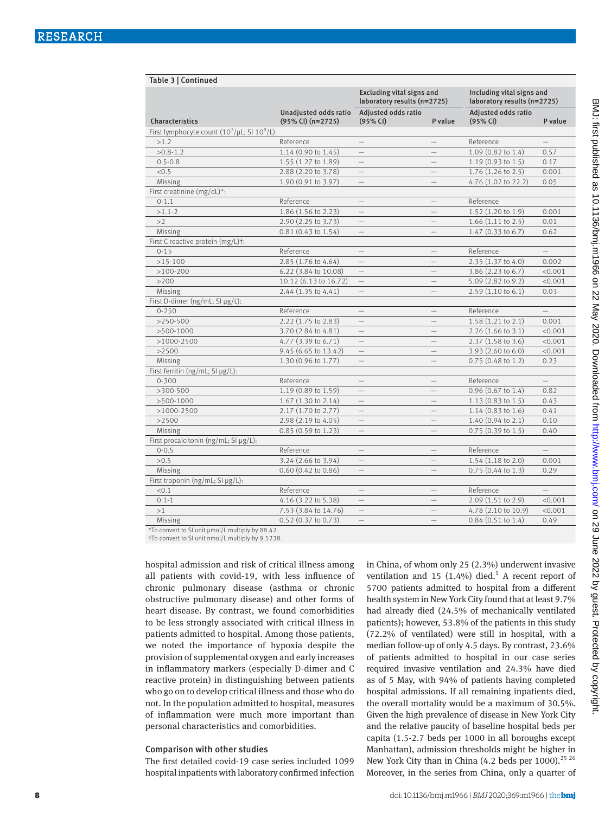Table 3 | Continued

| rable by Continued                                 |                                                 |                                                                 |                          |                                                          |          |
|----------------------------------------------------|-------------------------------------------------|-----------------------------------------------------------------|--------------------------|----------------------------------------------------------|----------|
|                                                    |                                                 | <b>Excluding vital signs and</b><br>laboratory results (n=2725) |                          | Including vital signs and<br>laboratory results (n=2725) |          |
| Characteristics                                    | Unadjusted odds ratio<br>$(95\%$ CI) $(n=2725)$ | Adjusted odds ratio<br>(95% CI)                                 | P value                  | Adjusted odds ratio<br>(95% CI)                          | P value  |
| First lymphocyte count $(10^3/\mu L; S1 10^9/L)$ : |                                                 |                                                                 |                          |                                                          |          |
| >1.2                                               | Reference                                       | $-$                                                             | $-$                      | Reference                                                | $-$      |
| $>0.8 - 1.2$                                       | 1.14 (0.90 to 1.45)                             | $=$                                                             |                          | 1.09 (0.82 to 1.4)                                       | 0.57     |
| $0.5 - 0.8$                                        | 1.55 (1.27 to 1.89)                             | $\overline{\phantom{0}}$                                        |                          | 1.19 (0.93 to 1.5)                                       | 0.17     |
| < 0.5                                              | 2.88 (2.20 to 3.78)                             | $\overline{\phantom{0}}$                                        |                          | 1.76 (1.26 to 2.5)                                       | 0.001    |
| Missing                                            | 1.90 (0.91 to 3.97)                             |                                                                 |                          | 4.76 (1.02 to 22.2)                                      | 0.05     |
| First creatinine (mg/dL)*:                         |                                                 |                                                                 |                          |                                                          |          |
| $0 - 1.1$                                          | Reference                                       | $-$                                                             | $\overline{\phantom{0}}$ | Reference                                                |          |
| $>1.1-2$                                           | 1.86 (1.56 to 2.23)                             |                                                                 |                          | 1.52 (1.20 to 1.9)                                       | 0.001    |
| >2                                                 | 2.90 (2.25 to 3.73)                             | $-$                                                             | $\equiv$                 | $1.66$ $(1.11$ to $2.5)$                                 | 0.01     |
| Missing                                            | $0.81(0.43 \text{ to } 1.54)$                   |                                                                 |                          | 1.47 (0.33 to 6.7)                                       | 0.62     |
| First C reactive protein (mg/L)+:                  |                                                 |                                                                 |                          |                                                          |          |
| $0 - 15$                                           | Reference                                       | $-$                                                             | $\overline{\phantom{0}}$ | Reference                                                | $\equiv$ |
| $>15-100$                                          | 2.85 (1.76 to 4.64)                             | $\equiv$                                                        | $\overline{\phantom{0}}$ | 2.35 (1.37 to 4.0)                                       | 0.002    |
| $>100-200$                                         | 6.22 (3.84 to 10.08)                            |                                                                 |                          | 3.86 (2.23 to 6.7)                                       | < 0.001  |
| >200                                               | 10.12 (6.13 to 16.72)                           | $\overline{\phantom{0}}$                                        | $\equiv$                 | 5.09 (2.82 to 9.2)                                       | < 0.001  |
| Missing                                            | 2.44 (1.35 to 4.41)                             |                                                                 |                          | 2.59(1.10 to 6.1)                                        | 0.03     |
| First D-dimer (ng/mL; SI µg/L):                    |                                                 |                                                                 |                          |                                                          |          |
| $0 - 250$                                          | Reference                                       | $\equiv$                                                        | $\qquad \qquad -$        | Reference                                                | $-$      |
| $>250-500$                                         | 2.22 (1.75 to 2.83)                             | $\equiv$                                                        | $\overline{\phantom{0}}$ | 1.58 (1.21 to 2.1)                                       | 0.001    |
| $>500-1000$                                        | 3.70 (2.84 to 4.81)                             |                                                                 |                          | 2.26 (1.66 to 3.1)                                       | < 0.001  |
| $>1000-2500$                                       | 4.77 (3.39 to 6.71)                             | $\qquad \qquad -$                                               | $=$                      | 2.37 (1.58 to 3.6)                                       | < 0.001  |
| >2500                                              | 9.45 (6.65 to 13.42)                            |                                                                 |                          | $3.93(2.60 \text{ to } 6.0)$                             | < 0.001  |
| Missing                                            | 1.30 (0.96 to 1.77)                             |                                                                 |                          | $0.75$ (0.48 to 1.2)                                     | 0.23     |
| First ferritin (ng/mL; SI µg/L):                   |                                                 |                                                                 |                          |                                                          |          |
| $0 - 300$                                          | Reference                                       | $\equiv$                                                        | $\equiv$                 | Reference                                                | $-$      |
| $>300-500$                                         | 1.19 (0.89 to 1.59)                             |                                                                 |                          | 0.96 (0.67 to 1.4)                                       | 0.82     |
| $>500-1000$                                        | 1.67 (1.30 to 2.14)                             | $\equiv$                                                        | $-$                      | $1.13(0.83 \text{ to } 1.5)$                             | 0.43     |
| $>1000-2500$                                       | 2.17 (1.70 to 2.77)                             | $\overline{\phantom{0}}$                                        | -                        | 1.14 (0.83 to 1.6)                                       | 0.41     |
| >2500                                              | 2.98 (2.19 to 4.05)                             |                                                                 |                          | $1.40(0.94 \text{ to } 2.1)$                             | 0.10     |
| Missing                                            | 0.85 (0.59 to 1.23)                             | $\equiv$                                                        | $-$                      | $0.75(0.39 \text{ to } 1.5)$                             | 0.40     |
| First procalcitonin ( $ng/mL$ ; SI $\mu$ g/L):     |                                                 |                                                                 |                          |                                                          |          |
| $0 - 0.5$                                          | Reference                                       |                                                                 |                          | Reference                                                | $-$      |
| >0.5                                               | 3.24 (2.66 to 3.94)                             | $=$                                                             |                          | 1.54 (1.18 to 2.0)                                       | 0.001    |
| Missing                                            | $0.60$ $(0.42$ to $0.86)$                       | $\qquad \qquad -$                                               | $\overline{\phantom{0}}$ | $0.75$ $(0.44$ to $1.3)$                                 | 0.29     |
| First troponin (ng/mL; SI µg/L):                   |                                                 |                                                                 |                          |                                                          |          |
| < 0.1                                              | Reference                                       | $\equiv$                                                        | $\overline{\phantom{0}}$ | Reference                                                | $-$      |
| $0.1 - 1$                                          | 4.16 (3.22 to 5.38)                             |                                                                 |                          | 2.09 (1.51 to 2.9)                                       | < 0.001  |
| >1                                                 | 7.53 (3.84 to 14.76)                            | $\overline{\phantom{0}}$                                        | -                        | 4.78 (2.10 to 10.9)                                      | < 0.001  |
| Missing                                            | 0.52 (0.37 to 0.73)                             | $\equiv$                                                        | $-$                      | $0.84$ $(0.51$ to $1.4)$                                 | 0.49     |

\*To convert to SI unit μmol/L multiply by 88.42.

†To convert to SI unit nmol/L multiply by 9.5238.

hospital admission and risk of critical illness among all patients with covid-19, with less influence of chronic pulmonary disease (asthma or chronic obstructive pulmonary disease) and other forms of heart disease. By contrast, we found comorbidities to be less strongly associated with critical illness in patients admitted to hospital. Among those patients, we noted the importance of hypoxia despite the provision of supplemental oxygen and early increases in inflammatory markers (especially D-dimer and C reactive protein) in distinguishing between patients who go on to develop critical illness and those who do not. In the population admitted to hospital, measures of inflammation were much more important than personal characteristics and comorbidities.

#### Comparison with other studies

The first detailed covid-19 case series included 1099 hospital inpatients with laboratory confirmed infection in China, of whom only 25 (2.3%) underwent invasive ventilation and 15  $(1.4\%)$  died.<sup>1</sup> A recent report of 5700 patients admitted to hospital from a different health system in New York City found that at least 9.7% had already died (24.5% of mechanically ventilated patients); however, 53.8% of the patients in this study (72.2% of ventilated) were still in hospital, with a median follow-up of only 4.5 days. By contrast, 23.6% of patients admitted to hospital in our case series required invasive ventilation and 24.3% have died as of 5 May, with 94% of patients having completed hospital admissions. If all remaining inpatients died, the overall mortality would be a maximum of 30.5%. Given the high prevalence of disease in New York City and the relative paucity of baseline hospital beds per capita (1.5-2.7 beds per 1000 in all boroughs except Manhattan), admission thresholds might be higher in New York City than in China (4.2 beds per 1000).<sup>25 26</sup> Moreover, in the series from China, only a quarter of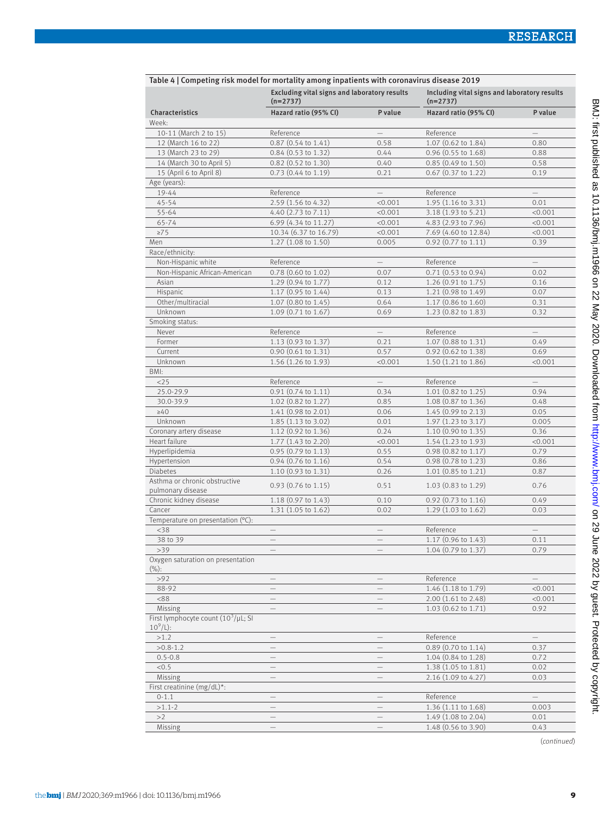| Table 4   Competing risk model for mortality among inpatients with coronavirus disease 2019 |                                                            |                          |                                                            |                          |  |  |
|---------------------------------------------------------------------------------------------|------------------------------------------------------------|--------------------------|------------------------------------------------------------|--------------------------|--|--|
|                                                                                             | Excluding vital signs and laboratory results<br>$(n=2737)$ |                          | Including vital signs and laboratory results<br>$(n=2737)$ |                          |  |  |
| Characteristics                                                                             | Hazard ratio (95% CI)                                      | P value                  | Hazard ratio (95% CI)                                      | P value                  |  |  |
| Week:                                                                                       |                                                            |                          |                                                            |                          |  |  |
| 10-11 (March 2 to 15)                                                                       | Reference                                                  |                          | Reference                                                  |                          |  |  |
| 12 (March 16 to 22)                                                                         | $0.87$ (0.54 to 1.41)                                      | 0.58                     | 1.07 (0.62 to 1.84)                                        | 0.80                     |  |  |
| 13 (March 23 to 29)                                                                         | 0.84 (0.53 to 1.32)                                        | 0.44                     | 0.96 (0.55 to 1.68)                                        | 0.88                     |  |  |
| 14 (March 30 to April 5)                                                                    | $0.82$ (0.52 to 1.30)                                      | 0.40                     | $0.85(0.49 \text{ to } 1.50)$                              | 0.58                     |  |  |
| 15 (April 6 to April 8)                                                                     | $0.73$ $(0.44$ to $1.19)$                                  | 0.21                     | $0.67$ (0.37 to 1.22)                                      | 0.19                     |  |  |
| Age (years):                                                                                |                                                            |                          |                                                            |                          |  |  |
| 19-44                                                                                       | Reference                                                  | $\qquad \qquad -$        | Reference                                                  |                          |  |  |
| $45 - 54$                                                                                   | 2.59 (1.56 to 4.32)                                        | < 0.001                  | 1.95 (1.16 to 3.31)                                        | 0.01                     |  |  |
| 55-64                                                                                       | 4.40 (2.73 to 7.11)                                        | < 0.001                  | 3.18 (1.93 to 5.21)                                        | < 0.001                  |  |  |
| 65-74                                                                                       | 6.99 (4.34 to 11.27)                                       | < 0.001                  | 4.83 (2.93 to 7.96)                                        | < 0.001                  |  |  |
| $\geq 75$                                                                                   | 10.34 (6.37 to 16.79)                                      | < 0.001                  | 7.69 (4.60 to 12.84)                                       | < 0.001                  |  |  |
| Men                                                                                         | $1.27$ (1.08 to 1.50)                                      | 0.005                    | 0.92 (0.77 to 1.11)                                        | 0.39                     |  |  |
| Race/ethnicity:                                                                             |                                                            |                          |                                                            |                          |  |  |
| Non-Hispanic white                                                                          | Reference                                                  | $\overline{\phantom{0}}$ | Reference                                                  |                          |  |  |
| Non-Hispanic African-American                                                               | $0.78$ (0.60 to 1.02)                                      | 0.07                     | $0.71(0.53 \text{ to } 0.94)$                              | 0.02                     |  |  |
| Asian                                                                                       | 1.29 (0.94 to 1.77)                                        | 0.12                     | 1.26 (0.91 to 1.75)                                        | 0.16                     |  |  |
| Hispanic                                                                                    | 1.17 (0.95 to 1.44)                                        | 0.13                     | 1.21 (0.98 to 1.49)                                        | 0.07                     |  |  |
| Other/multiracial                                                                           | 1.07 (0.80 to 1.45)                                        | 0.64                     | 1.17 (0.86 to 1.60)                                        | 0.31                     |  |  |
| Unknown                                                                                     | 1.09 (0.71 to 1.67)                                        | 0.69                     | 1.23 (0.82 to 1.83)                                        | 0.32                     |  |  |
| Smoking status:                                                                             |                                                            |                          |                                                            |                          |  |  |
| Never                                                                                       | Reference                                                  | $\equiv$                 | Reference                                                  | $-$                      |  |  |
| Former                                                                                      | 1.13 (0.93 to 1.37)                                        | 0.21                     | 1.07 (0.88 to 1.31)                                        | 0.49                     |  |  |
| Current                                                                                     | 0.90 (0.61 to 1.31)                                        | 0.57                     | 0.92 (0.62 to 1.38)                                        | 0.69                     |  |  |
| Unknown                                                                                     | $1.56$ (1.26 to 1.93)                                      | < 0.001                  | $1.50(1.21 \text{ to } 1.86)$                              | < 0.001                  |  |  |
| BMI:                                                                                        |                                                            |                          |                                                            |                          |  |  |
| <25                                                                                         | Reference                                                  |                          | Reference                                                  |                          |  |  |
| 25.0-29.9                                                                                   | 0.91 (0.74 to 1.11)                                        | 0.34                     | 1.01 (0.82 to 1.25)                                        | 0.94                     |  |  |
| 30.0-39.9                                                                                   | 1.02 (0.82 to 1.27)                                        | 0.85                     | 1.08 (0.87 to 1.36)                                        | 0.48                     |  |  |
| $\geq 40$                                                                                   | $1.41$ (0.98 to 2.01)                                      | 0.06                     | 1.45 (0.99 to 2.13)                                        | 0.05                     |  |  |
| Unknown                                                                                     | $1.85(1.13 \text{ to } 3.02)$                              | 0.01                     | $1.97(1.23 \text{ to } 3.17)$                              | 0.005                    |  |  |
| Coronary artery disease                                                                     | 1.12 (0.92 to 1.36)                                        | 0.24                     | $1.10$ (0.90 to 1.35)                                      | 0.36                     |  |  |
| Heart failure                                                                               | 1.77 (1.43 to 2.20)                                        | < 0.001                  | $1.54(1.23 \text{ to } 1.93)$                              | < 0.001                  |  |  |
| Hyperlipidemia                                                                              | 0.95 (0.79 to 1.13)                                        | 0.55                     | 0.98 (0.82 to 1.17)                                        | 0.79                     |  |  |
| Hypertension                                                                                | 0.94 (0.76 to 1.16)                                        | 0.54                     | 0.98 (0.78 to 1.23)                                        | 0.86                     |  |  |
| <b>Diabetes</b>                                                                             | 1.10 (0.93 to 1.31)                                        | 0.26                     | 1.01 (0.85 to 1.21)                                        | 0.87                     |  |  |
| Asthma or chronic obstructive<br>pulmonary disease                                          | $0.93$ (0.76 to 1.15)                                      | 0.51                     | $1.03(0.83 \text{ to } 1.29)$                              | 0.76                     |  |  |
| Chronic kidney disease                                                                      | $1.18$ (0.97 to 1.43)                                      | 0.10                     | $0.92$ (0.73 to 1.16)                                      | 0.49                     |  |  |
| Cancer                                                                                      | 1.31 (1.05 to 1.62)                                        | 0.02                     | 1.29 (1.03 to 1.62)                                        | 0.03                     |  |  |
| Temperature on presentation (°C):                                                           |                                                            |                          |                                                            |                          |  |  |
| $<$ 38                                                                                      |                                                            |                          | Reference                                                  |                          |  |  |
| 38 to 39                                                                                    |                                                            |                          | $1.17(0.96 \text{ to } 1.43)$                              | 0.11                     |  |  |
| >39                                                                                         |                                                            |                          | 1.04 (0.79 to 1.37)                                        | 0.79                     |  |  |
| Oxygen saturation on presentation<br>$(\%):$                                                |                                                            |                          |                                                            |                          |  |  |
| >92                                                                                         |                                                            |                          | Reference                                                  |                          |  |  |
| 88-92                                                                                       |                                                            |                          | 1.46 (1.18 to 1.79)                                        | < 0.001                  |  |  |
| < 88                                                                                        |                                                            |                          | 2.00 (1.61 to 2.48)                                        | < 0.001                  |  |  |
| Missing                                                                                     | $\equiv$                                                   |                          | 1.03 (0.62 to 1.71)                                        | 0.92                     |  |  |
| First lymphocyte count $(10^3/\mu L; S)$<br>$10^9$ /L):                                     |                                                            |                          |                                                            |                          |  |  |
| >1.2                                                                                        | $\qquad \qquad -$                                          | $\overline{\phantom{0}}$ | Reference                                                  |                          |  |  |
| $>0.8-1.2$                                                                                  | —                                                          | —                        | 0.89 (0.70 to 1.14)                                        | 0.37                     |  |  |
| $0.5 - 0.8$                                                                                 | $\qquad \qquad -$                                          | $\qquad \qquad$          | 1.04 (0.84 to 1.28)                                        | 0.72                     |  |  |
| < 0.5                                                                                       | $\qquad \qquad -$                                          | —                        | 1.38 (1.05 to 1.81)                                        | 0.02                     |  |  |
| Missing                                                                                     | $\qquad \qquad -$                                          |                          | 2.16 (1.09 to 4.27)                                        | 0.03                     |  |  |
| First creatinine (mg/dL)*:                                                                  |                                                            |                          |                                                            |                          |  |  |
| $0 - 1.1$                                                                                   | $\overline{\phantom{0}}$                                   |                          | Reference                                                  | $\overline{\phantom{0}}$ |  |  |
| $>1.1-2$                                                                                    | $\overline{\phantom{0}}$                                   |                          | 1.36 (1.11 to 1.68)                                        | 0.003                    |  |  |
| >2                                                                                          | $\overline{\phantom{0}}$                                   | $\overline{\phantom{0}}$ | 1.49 (1.08 to 2.04)                                        | 0.01                     |  |  |
| Missing                                                                                     |                                                            |                          | 1.48 (0.56 to 3.90)                                        | 0.43                     |  |  |
|                                                                                             |                                                            |                          |                                                            |                          |  |  |

(*continued*)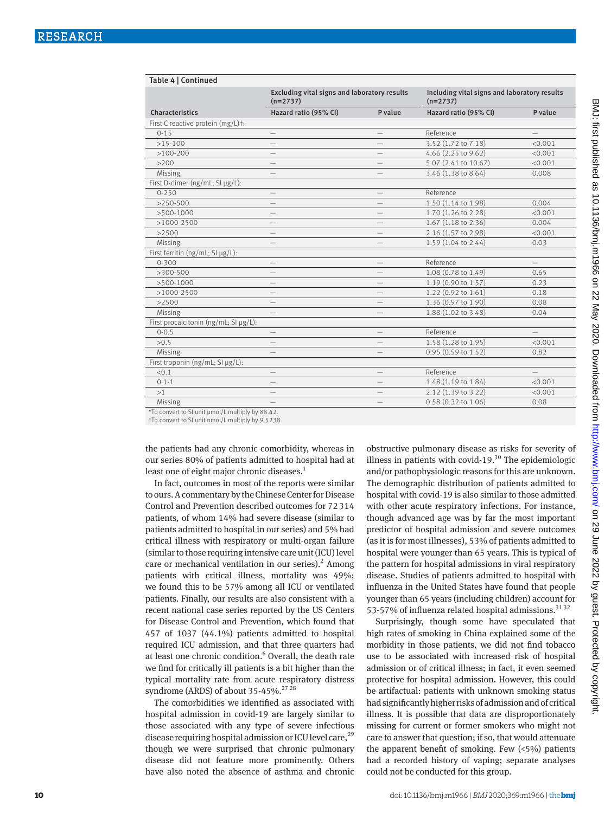|                                                  | Excluding vital signs and laboratory results<br>$(n=2737)$ |  | Including vital signs and laboratory results<br>$(n=2737)$ |                   |  |
|--------------------------------------------------|------------------------------------------------------------|--|------------------------------------------------------------|-------------------|--|
| Characteristics                                  | Hazard ratio (95% CI)<br>P value                           |  | Hazard ratio (95% CI)                                      | P value           |  |
| First C reactive protein (mg/L)t:                |                                                            |  |                                                            |                   |  |
| $0 - 15$                                         | $\qquad \qquad -$                                          |  | Reference                                                  |                   |  |
| $>15-100$                                        |                                                            |  | 3.52 (1.72 to 7.18)                                        | < 0.001           |  |
| $>100-200$                                       |                                                            |  | 4.66 (2.25 to 9.62)                                        | < 0.001           |  |
| >200                                             | —                                                          |  | 5.07 (2.41 to 10.67)                                       | < 0.001           |  |
| Missing                                          |                                                            |  | 3.46 (1.38 to 8.64)                                        | 0.008             |  |
| First D-dimer (ng/mL; SI µg/L):                  |                                                            |  |                                                            |                   |  |
| $0 - 250$                                        | —                                                          |  | Reference                                                  |                   |  |
| $>250-500$                                       |                                                            |  | 1.50 (1.14 to 1.98)                                        | 0.004             |  |
| $>500-1000$                                      | —                                                          |  | 1.70 (1.26 to 2.28)                                        | < 0.001           |  |
| $>1000-2500$                                     |                                                            |  | 1.67 (1.18 to 2.36)                                        | 0.004             |  |
| >2500                                            | —                                                          |  | 2.16 (1.57 to 2.98)                                        | < 0.001           |  |
| Missing                                          | $\overline{\phantom{0}}$                                   |  | 1.59 (1.04 to 2.44)                                        | 0.03              |  |
| First ferritin (ng/mL; SI µg/L):                 |                                                            |  |                                                            |                   |  |
| $0 - 300$                                        |                                                            |  | Reference                                                  |                   |  |
| $>300-500$                                       | —                                                          |  | 1.08 (0.78 to 1.49)                                        | 0.65              |  |
| $>500-1000$                                      |                                                            |  | 1.19 (0.90 to 1.57)                                        | 0.23              |  |
| $>1000-2500$                                     |                                                            |  | 1.22 (0.92 to 1.61)                                        | 0.18              |  |
| >2500                                            |                                                            |  | 1.36 (0.97 to 1.90)                                        | 0.08              |  |
| Missing                                          |                                                            |  | 1.88 (1.02 to 3.48)                                        | 0.04              |  |
| First procalcitonin ( $ng/mL$ ; SI $\mu g/L$ ):  |                                                            |  |                                                            |                   |  |
| $0 - 0.5$                                        | $\qquad \qquad -$                                          |  | Reference                                                  | $\qquad \qquad -$ |  |
| >0.5                                             |                                                            |  | 1.58 (1.28 to 1.95)                                        | < 0.001           |  |
| Missing                                          |                                                            |  | 0.95 (0.59 to 1.52)                                        | 0.82              |  |
| First troponin (ng/mL; SI µg/L):                 |                                                            |  |                                                            |                   |  |
| < 0.1                                            |                                                            |  | Reference                                                  |                   |  |
| $0.1 - 1$                                        | $\overline{\phantom{0}}$                                   |  | 1.48 (1.19 to 1.84)                                        | < 0.001           |  |
| >1                                               |                                                            |  | 2.12 (1.39 to 3.22)                                        | < 0.001           |  |
| Missing                                          |                                                            |  | 0.58 (0.32 to 1.06)                                        | 0.08              |  |
| *To convert to SI unit µmol/L multiply by 88.42. |                                                            |  |                                                            |                   |  |

\*To convert to SI unit μmol/L multiply by 88.42. †To convert to SI unit nmol/L multiply by 9.5238.

the patients had any chronic comorbidity, whereas in our series 80% of patients admitted to hospital had at least one of eight major chronic diseases.<sup>1</sup>

In fact, outcomes in most of the reports were similar to ours. A commentary by the Chinese Center for Disease Control and Prevention described outcomes for 72314 patients, of whom 14% had severe disease (similar to patients admitted to hospital in our series) and 5% had critical illness with respiratory or multi-organ failure (similar to those requiring intensive care unit (ICU) level care or mechanical ventilation in our series). $<sup>2</sup>$  Among</sup> patients with critical illness, mortality was 49%; we found this to be 57% among all ICU or ventilated patients. Finally, our results are also consistent with a recent national case series reported by the US Centers for Disease Control and Prevention, which found that 457 of 1037 (44.1%) patients admitted to hospital required ICU admission, and that three quarters had at least one chronic condition.<sup>6</sup> Overall, the death rate we find for critically ill patients is a bit higher than the typical mortality rate from acute respiratory distress syndrome (ARDS) of about  $35-45\%$ .<sup>27 28</sup>

The comorbidities we identified as associated with hospital admission in covid-19 are largely similar to those associated with any type of severe infectious disease requiring hospital admission or ICU level care,  $^{29}$ though we were surprised that chronic pulmonary disease did not feature more prominently. Others have also noted the absence of asthma and chronic obstructive pulmonary disease as risks for severity of illness in patients with covid-19. $30$  The epidemiologic and/or pathophysiologic reasons for this are unknown. The demographic distribution of patients admitted to hospital with covid-19 is also similar to those admitted with other acute respiratory infections. For instance, though advanced age was by far the most important predictor of hospital admission and severe outcomes (as it is for most illnesses), 53% of patients admitted to hospital were younger than 65 years. This is typical of the pattern for hospital admissions in viral respiratory disease. Studies of patients admitted to hospital with influenza in the United States have found that people younger than 65 years (including children) account for 53-57% of influenza related hospital admissions.<sup>31 32</sup>

Surprisingly, though some have speculated that high rates of smoking in China explained some of the morbidity in those patients, we did not find tobacco use to be associated with increased risk of hospital admission or of critical illness; in fact, it even seemed protective for hospital admission. However, this could be artifactual: patients with unknown smoking status had significantly higher risks of admission and of critical illness. It is possible that data are disproportionately missing for current or former smokers who might not care to answer that question; if so, that would attenuate the apparent benefit of smoking. Few  $(5\%)$  patients had a recorded history of vaping; separate analyses could not be conducted for this group.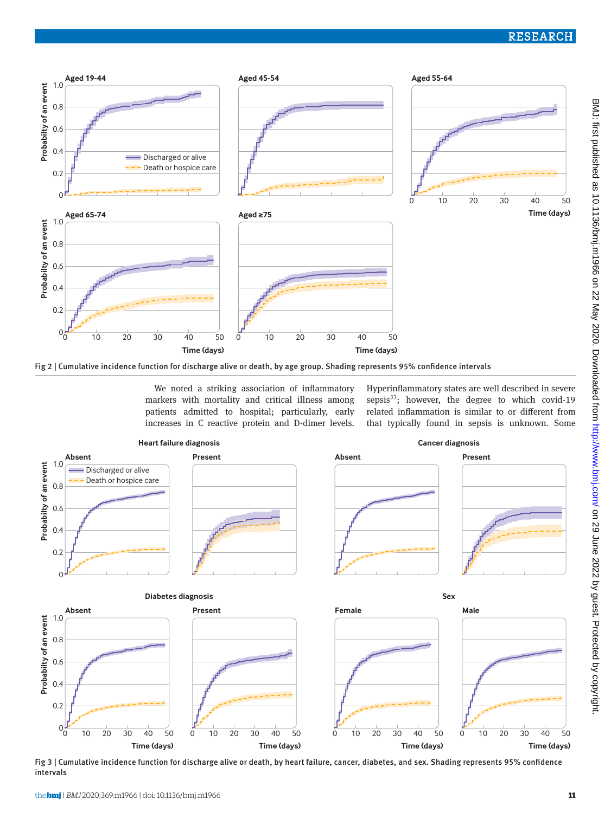

Fig 2 | Cumulative incidence function for discharge alive or death, by age group. Shading represents 95% confidence intervals

We noted a striking association of inflammatory markers with mortality and critical illness among patients admitted to hospital; particularly, early increases in C reactive protein and D-dimer levels. Hyperinflammatory states are well described in severe sepsis $33$ ; however, the degree to which covid-19 related inflammation is similar to or different from that typically found in sepsis is unknown. Some



Fig 3 | Cumulative incidence function for discharge alive or death, by heart failure, cancer, diabetes, and sex. Shading represents 95% confidence intervals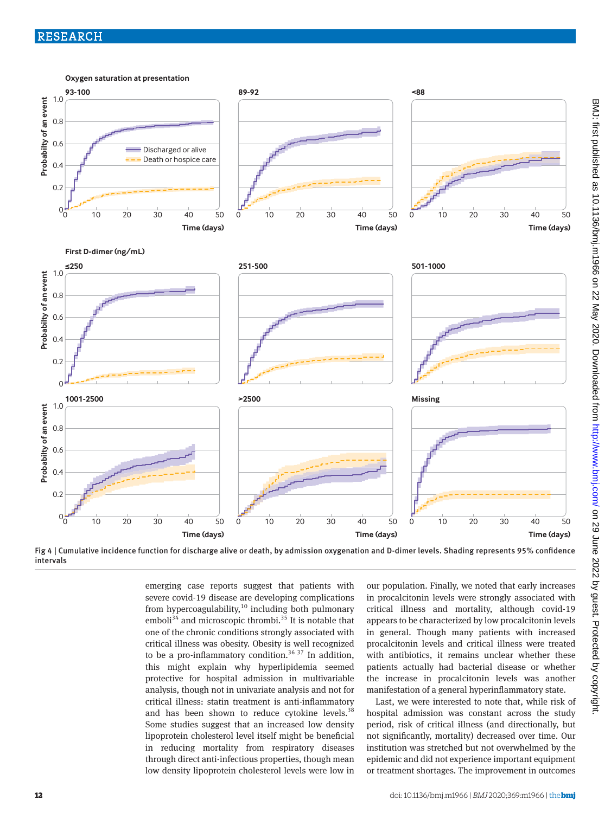

Fig 4 | Cumulative incidence function for discharge alive or death, by admission oxygenation and D-dimer levels. Shading represents 95% confidence intervals

> emerging case reports suggest that patients with severe covid-19 disease are developing complications from hypercoagulability, $10$  including both pulmonary emboli<sup>34</sup> and microscopic thrombi.<sup>35</sup> It is notable that one of the chronic conditions strongly associated with critical illness was obesity. Obesity is well recognized to be a pro-inflammatory condition.<sup>36 37</sup> In addition, this might explain why hyperlipidemia seemed protective for hospital admission in multivariable analysis, though not in univariate analysis and not for critical illness: statin treatment is anti-inflammatory and has been shown to reduce cytokine levels. $38$ Some studies suggest that an increased low density lipoprotein cholesterol level itself might be beneficial in reducing mortality from respiratory diseases through direct anti-infectious properties, though mean low density lipoprotein cholesterol levels were low in

our population. Finally, we noted that early increases in procalcitonin levels were strongly associated with critical illness and mortality, although covid-19 appears to be characterized by low procalcitonin levels in general. Though many patients with increased procalcitonin levels and critical illness were treated with antibiotics, it remains unclear whether these patients actually had bacterial disease or whether the increase in procalcitonin levels was another manifestation of a general hyperinflammatory state.

Last, we were interested to note that, while risk of hospital admission was constant across the study period, risk of critical illness (and directionally, but not significantly, mortality) decreased over time. Our institution was stretched but not overwhelmed by the epidemic and did not experience important equipment or treatment shortages. The improvement in outcomes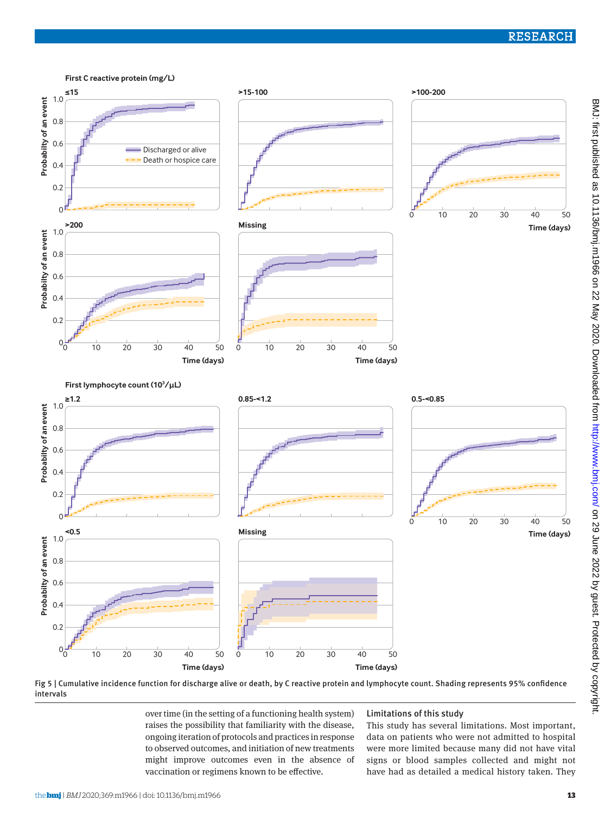

Fig 5 | Cumulative incidence function for discharge alive or death, by C reactive protein and lymphocyte count. Shading represents 95% confidence intervals

over time (in the setting of a functioning health system) raises the possibility that familiarity with the disease, ongoing iteration of protocols and practices in response to observed outcomes, and initiation of new treatments might improve outcomes even in the absence of vaccination or regimens known to be effective.

## Limitations of this study

This study has several limitations. Most important, data on patients who were not admitted to hospital were more limited because many did not have vital signs or blood samples collected and might not have had as detailed a medical history taken. They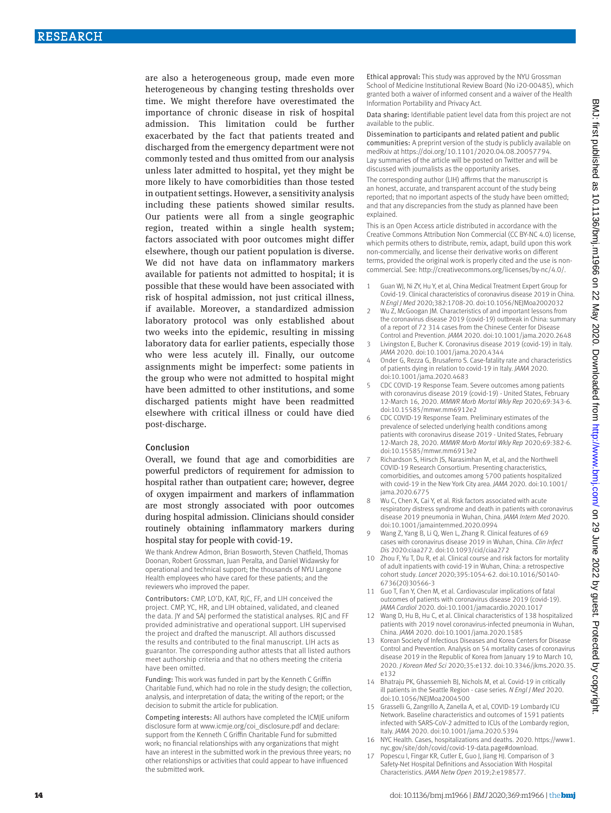are also a heterogeneous group, made even more heterogeneous by changing testing thresholds over time. We might therefore have overestimated the importance of chronic disease in risk of hospital admission. This limitation could be further exacerbated by the fact that patients treated and discharged from the emergency department were not commonly tested and thus omitted from our analysis unless later admitted to hospital, yet they might be more likely to have comorbidities than those tested in outpatient settings. However, a sensitivity analysis including these patients showed similar results. Our patients were all from a single geographic region, treated within a single health system; factors associated with poor outcomes might differ elsewhere, though our patient population is diverse. We did not have data on inflammatory markers available for patients not admitted to hospital; it is possible that these would have been associated with risk of hospital admission, not just critical illness, if available. Moreover, a standardized admission laboratory protocol was only established about two weeks into the epidemic, resulting in missing laboratory data for earlier patients, especially those who were less acutely ill. Finally, our outcome assignments might be imperfect: some patients in the group who were not admitted to hospital might have been admitted to other institutions, and some discharged patients might have been readmitted elsewhere with critical illness or could have died post-discharge.

#### Conclusion

Overall, we found that age and comorbidities are powerful predictors of requirement for admission to hospital rather than outpatient care; however, degree of oxygen impairment and markers of inflammation are most strongly associated with poor outcomes during hospital admission. Clinicians should consider routinely obtaining inflammatory markers during hospital stay for people with covid-19.

We thank Andrew Admon, Brian Bosworth, Steven Chatfield, Thomas Doonan, Robert Grossman, Juan Peralta, and Daniel Widawsky for operational and technical support; the thousands of NYU Langone Health employees who have cared for these patients; and the reviewers who improved the paper.

Contributors: CMP, LO'D, KAT, RJC, FF, and LIH conceived the project. CMP, YC, HR, and LIH obtained, validated, and cleaned the data. JY and SAJ performed the statistical analyses. RJC and FF provided administrative and operational support. LIH supervised the project and drafted the manuscript. All authors discussed the results and contributed to the final manuscript. LIH acts as guarantor. The corresponding author attests that all listed authors meet authorship criteria and that no others meeting the criteria have been omitted.

Funding: This work was funded in part by the Kenneth C Griffin Charitable Fund, which had no role in the study design; the collection, analysis, and interpretation of data; the writing of the report; or the decision to submit the article for publication.

Competing interests: All authors have completed the ICMJE uniform disclosure form at [www.icmje.org/coi\\_disclosure.pdf](http://www.icmje.org/coi_disclosure.pdf) and declare: support from the Kenneth C Griffin Charitable Fund for submitted work; no financial relationships with any organizations that might have an interest in the submitted work in the previous three years; no other relationships or activities that could appear to have influenced the submitted work.

Ethical approval: This study was approved by the NYU Grossman School of Medicine Institutional Review Board (No i20-00485), which granted both a waiver of informed consent and a waiver of the Health Information Portability and Privacy Act.

Data sharing: Identifiable patient level data from this project are not available to the public.

Dissemination to participants and related patient and public communities: A preprint version of the study is publicly available on medRxiv at<https://doi.org/10.1101/2020.04.08.20057794>. Lay summaries of the article will be posted on Twitter and will be discussed with journalists as the opportunity arises.

The corresponding author (LIH) affirms that the manuscript is an honest, accurate, and transparent account of the study being reported; that no important aspects of the study have been omitted; and that any discrepancies from the study as planned have been explained.

This is an Open Access article distributed in accordance with the Creative Commons Attribution Non Commercial (CC BY-NC 4.0) license, which permits others to distribute, remix, adapt, build upon this work non-commercially, and license their derivative works on different terms, provided the original work is properly cited and the use is noncommercial. See:<http://creativecommons.org/licenses/by-nc/4.0/>.

- 1 Guan WJ, Ni ZY, Hu Y, et al, China Medical Treatment Expert Group for Covid-19. Clinical characteristics of coronavirus disease 2019 in China. *N Engl J Med* 2020;382:1708-20. doi:10.1056/NEJMoa2002032
- 2 Wu Z, McGoogan JM. Characteristics of and important lessons from the coronavirus disease 2019 (covid-19) outbreak in China: summary of a report of 72 314 cases from the Chinese Center for Disease Control and Prevention. *JAMA* 2020. doi:10.1001/jama.2020.2648
- Livingston E, Bucher K. Coronavirus disease 2019 (covid-19) in Italy. *JAMA* 2020. doi:10.1001/jama.2020.4344
- Onder G, Rezza G, Brusaferro S. Case-fatality rate and characteristics of patients dying in relation to covid-19 in Italy. *JAMA* 2020. doi:10.1001/jama.2020.4683
- 5 CDC COVID-19 Response Team. Severe outcomes among patients with coronavirus disease 2019 (covid-19) - United States, February 12-March 16, 2020. *MMWR Morb Mortal Wkly Rep* 2020;69:343-6. doi:10.15585/mmwr.mm6912e2
- 6 CDC COVID-19 Response Team. Preliminary estimates of the prevalence of selected underlying health conditions among patients with coronavirus disease 2019 - United States, February 12-March 28, 2020. *MMWR Morb Mortal Wkly Rep* 2020;69:382-6. doi:10.15585/mmwr.mm6913e2
- Richardson S, Hirsch JS, Narasimhan M, et al, and the Northwell COVID-19 Research Consortium. Presenting characteristics, comorbidities, and outcomes among 5700 patients hospitalized with covid-19 in the New York City area. *JAMA* 2020. doi:10.1001/ jama.2020.6775
- 8 Wu C, Chen X, Cai Y, et al. Risk factors associated with acute respiratory distress syndrome and death in patients with coronavirus disease 2019 pneumonia in Wuhan, China. *JAMA Intern Med* 2020. doi:10.1001/jamainternmed.2020.0994
- 9 Wang Z, Yang B, Li Q, Wen L, Zhang R. Clinical features of 69 cases with coronavirus disease 2019 in Wuhan, China. *Clin Infect Dis* 2020:ciaa272. doi:10.1093/cid/ciaa272
- 10 Zhou F, Yu T, Du R, et al. Clinical course and risk factors for mortality of adult inpatients with covid-19 in Wuhan, China: a retrospective cohort study. *Lancet* 2020;395:1054-62. doi:10.1016/S0140- 6736(20)30566-3
- 11 Guo T, Fan Y, Chen M, et al. Cardiovascular implications of fatal outcomes of patients with coronavirus disease 2019 (covid-19). *JAMA Cardiol* 2020. doi:10.1001/jamacardio.2020.1017
- 12 Wang D, Hu B, Hu C, et al. Clinical characteristics of 138 hospitalized patients with 2019 novel coronavirus-infected pneumonia in Wuhan, China. *JAMA* 2020. doi:10.1001/jama.2020.1585
- 13 Korean Society of Infectious Diseases and Korea Centers for Disease Control and Prevention. Analysis on 54 mortality cases of coronavirus disease 2019 in the Republic of Korea from January 19 to March 10, 2020. *J Korean Med Sci* 2020;35:e132. doi:10.3346/jkms.2020.35. e132
- 14 Bhatraju PK, Ghassemieh BJ, Nichols M, et al. Covid-19 in critically ill patients in the Seattle Region - case series. *N Engl J Med* 2020. doi:10.1056/NEJMoa2004500
- 15 Grasselli G, Zangrillo A, Zanella A, et al, COVID-19 Lombardy ICU Network. Baseline characteristics and outcomes of 1591 patients infected with SARS-CoV-2 admitted to ICUs of the Lombardy region, Italy. *JAMA* 2020. doi:10.1001/jama.2020.5394
- 16 NYC Health. Cases, hospitalizations and deaths. 2020. https://www1. nyc.gov/site/doh/covid/covid-19-data.page#download.
- 17 Popescu I, Fingar KR, Cutler E, Guo J, Jiang HJ. Comparison of 3 Safety-Net Hospital Definitions and Association With Hospital Characteristics. *JAMA Netw Open* 2019;2:e198577.